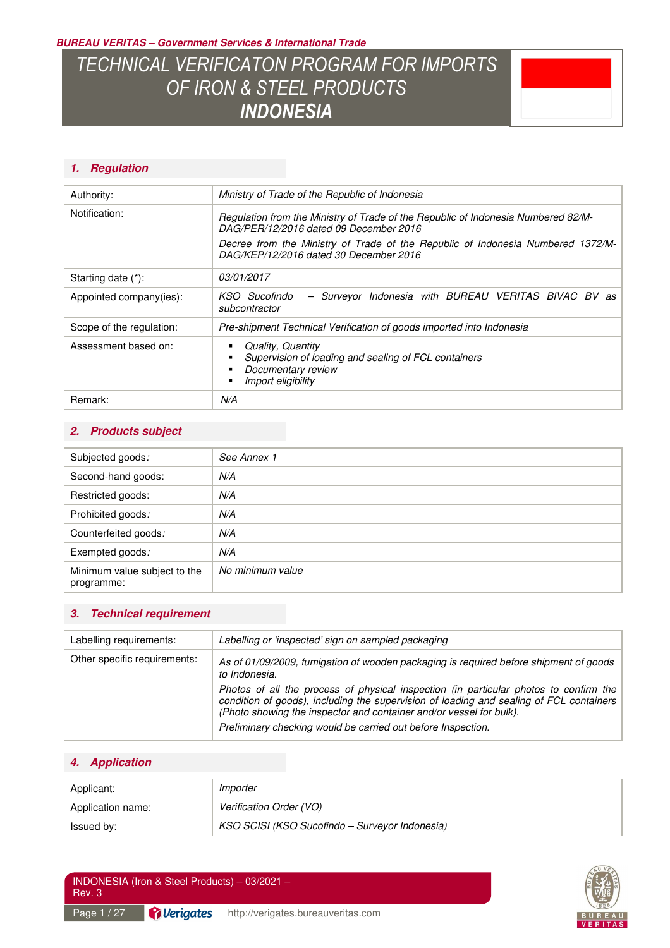**BUREAU VERITAS – Government Services & International Trade** 

# *TECHNICAL VERIFICATON PROGRAM FOR IMPORTS OF IRON & STEEL PRODUCTS INDONESIA*



### **1. Regulation**

| Authority:               | Ministry of Trade of the Republic of Indonesia                                                                              |  |
|--------------------------|-----------------------------------------------------------------------------------------------------------------------------|--|
| Notification:            | Regulation from the Ministry of Trade of the Republic of Indonesia Numbered 82/M-<br>DAG/PER/12/2016 dated 09 December 2016 |  |
|                          | Decree from the Ministry of Trade of the Republic of Indonesia Numbered 1372/M-<br>DAG/KEP/12/2016 dated 30 December 2016   |  |
| Starting date (*):       | <i>03/01/2017</i>                                                                                                           |  |
| Appointed company(ies):  | - Surveyor Indonesia with BUREAU VERITAS BIVAC BV as<br>KSO Sucofindo<br>subcontractor                                      |  |
| Scope of the regulation: | Pre-shipment Technical Verification of goods imported into Indonesia                                                        |  |
| Assessment based on:     | Quality, Quantity<br>Supervision of loading and sealing of FCL containers<br>Documentary review<br>Import eligibility       |  |
| Remark:                  | N/A                                                                                                                         |  |

#### **2. Products subject**

| Subjected goods:                           | See Annex 1      |
|--------------------------------------------|------------------|
| Second-hand goods:                         | N/A              |
| Restricted goods:                          | N/A              |
| Prohibited goods:                          | N/A              |
| Counterfeited goods:                       | N/A              |
| Exempted goods:                            | N/A              |
| Minimum value subject to the<br>programme: | No minimum value |

### **3. Technical requirement**

| Labelling or 'inspected' sign on sampled packaging                                                                                                                                                                                                                                                                      |  |
|-------------------------------------------------------------------------------------------------------------------------------------------------------------------------------------------------------------------------------------------------------------------------------------------------------------------------|--|
| As of 01/09/2009, fumigation of wooden packaging is required before shipment of goods<br>to Indonesia.                                                                                                                                                                                                                  |  |
| Photos of all the process of physical inspection (in particular photos to confirm the<br>condition of goods), including the supervision of loading and sealing of FCL containers<br>(Photo showing the inspector and container and/or vessel for bulk).<br>Preliminary checking would be carried out before Inspection. |  |
|                                                                                                                                                                                                                                                                                                                         |  |

### **4. Application**

| Applicant:        | Importer                                       |
|-------------------|------------------------------------------------|
| Application name: | Verification Order (VO)                        |
| ssued by:         | KSO SCISI (KSO Sucofindo - Surveyor Indonesia) |

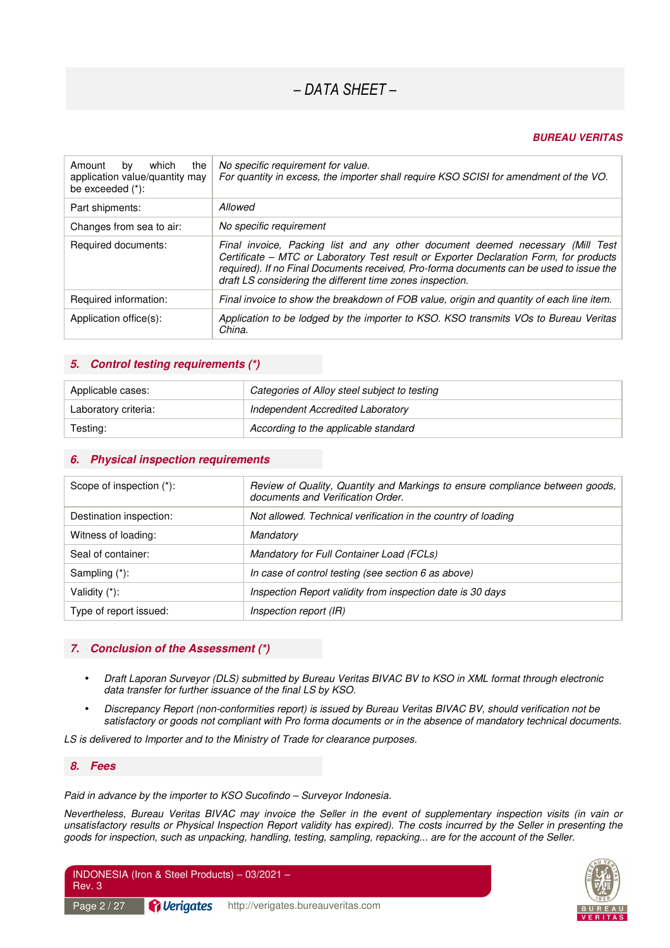#### **BUREAU VERITAS**

| which<br>the<br>Amount<br>by<br>application value/quantity may<br>be exceeded $(*)$ : | No specific requirement for value.<br>For quantity in excess, the importer shall require KSO SCISI for amendment of the VO.                                                                                                                                                                                                      |
|---------------------------------------------------------------------------------------|----------------------------------------------------------------------------------------------------------------------------------------------------------------------------------------------------------------------------------------------------------------------------------------------------------------------------------|
| Part shipments:                                                                       | Allowed                                                                                                                                                                                                                                                                                                                          |
| Changes from sea to air:                                                              | No specific requirement                                                                                                                                                                                                                                                                                                          |
| Required documents:                                                                   | Final invoice, Packing list and any other document deemed necessary (Mill Test<br>Certificate - MTC or Laboratory Test result or Exporter Declaration Form, for products<br>required). If no Final Documents received, Pro-forma documents can be used to issue the<br>draft LS considering the different time zones inspection. |
| Required information:                                                                 | Final invoice to show the breakdown of FOB value, origin and quantity of each line item.                                                                                                                                                                                                                                         |
| Application office(s):                                                                | Application to be lodged by the importer to KSO. KSO transmits VOs to Bureau Veritas<br>China.                                                                                                                                                                                                                                   |

#### **5. Control testing requirements (\*)**

| Applicable cases:    | Categories of Alloy steel subject to testing |
|----------------------|----------------------------------------------|
| Laboratory criteria: | Independent Accredited Laboratory            |
| Testing:             | According to the applicable standard         |

#### **6. Physical inspection requirements**

| Scope of inspection (*): | Review of Quality, Quantity and Markings to ensure compliance between goods,<br>documents and Verification Order. |
|--------------------------|-------------------------------------------------------------------------------------------------------------------|
| Destination inspection:  | Not allowed. Technical verification in the country of loading                                                     |
| Witness of loading:      | Mandatory                                                                                                         |
| Seal of container:       | Mandatory for Full Container Load (FCLs)                                                                          |
| Sampling (*):            | In case of control testing (see section 6 as above)                                                               |
| Validity (*):            | Inspection Report validity from inspection date is 30 days                                                        |
| Type of report issued:   | Inspection report (IR)                                                                                            |

#### **7. Conclusion of the Assessment (\*)**

- *Draft Laporan Surveyor (DLS) submitted by Bureau Veritas BIVAC BV to KSO in XML format through electronic data transfer for further issuance of the final LS by KSO.*
- *Discrepancy Report (non-conformities report) is issued by Bureau Veritas BIVAC BV, should verification not be satisfactory or goods not compliant with Pro forma documents or in the absence of mandatory technical documents.*

*LS is delivered to Importer and to the Ministry of Trade for clearance purposes.* 

#### **8. Fees**

#### *Paid in advance by the importer to KSO Sucofindo – Surveyor Indonesia.*

*Nevertheless, Bureau Veritas BIVAC may invoice the Seller in the event of supplementary inspection visits (in vain or unsatisfactory results or Physical Inspection Report validity has expired). The costs incurred by the Seller in presenting the goods for inspection, such as unpacking, handling, testing, sampling, repacking... are for the account of the Seller.* 

| INDONESIA (Iron & Steel Products) - 03/2021 -<br>Rev. 3 |                                  |                                    |
|---------------------------------------------------------|----------------------------------|------------------------------------|
| Page 2 / 27                                             | <i><u><b>C</b></u></i> Verigates | http://verigates.bureauveritas.com |

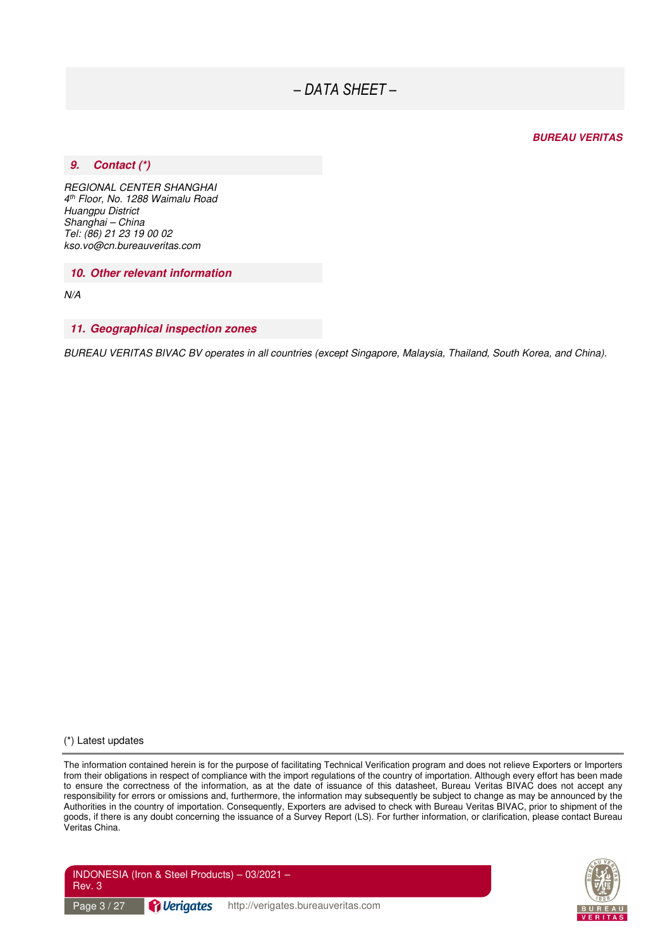#### **BUREAU VERITAS**

#### **9. Contact (\*)**

*REGIONAL CENTER SHANGHAI 4 th Floor, No. 1288 Waimalu Road Huangpu District Shanghai – China Tel: (86) 21 23 19 00 02 kso.vo@cn.bureauveritas.com* 

**10. Other relevant information** 

*N/A* 

#### **11. Geographical inspection zones**

*BUREAU VERITAS BIVAC BV operates in all countries (except Singapore, Malaysia, Thailand, South Korea, and China).* 

(\*) Latest updates

The information contained herein is for the purpose of facilitating Technical Verification program and does not relieve Exporters or Importers from their obligations in respect of compliance with the import regulations of the country of importation. Although every effort has been made to ensure the correctness of the information, as at the date of issuance of this datasheet, Bureau Veritas BIVAC does not accept any responsibility for errors or omissions and, furthermore, the information may subsequently be subject to change as may be announced by the Authorities in the country of importation. Consequently, Exporters are advised to check with Bureau Veritas BIVAC, prior to shipment of the goods, if there is any doubt concerning the issuance of a Survey Report (LS). For further information, or clarification, please contact Bureau Veritas China.



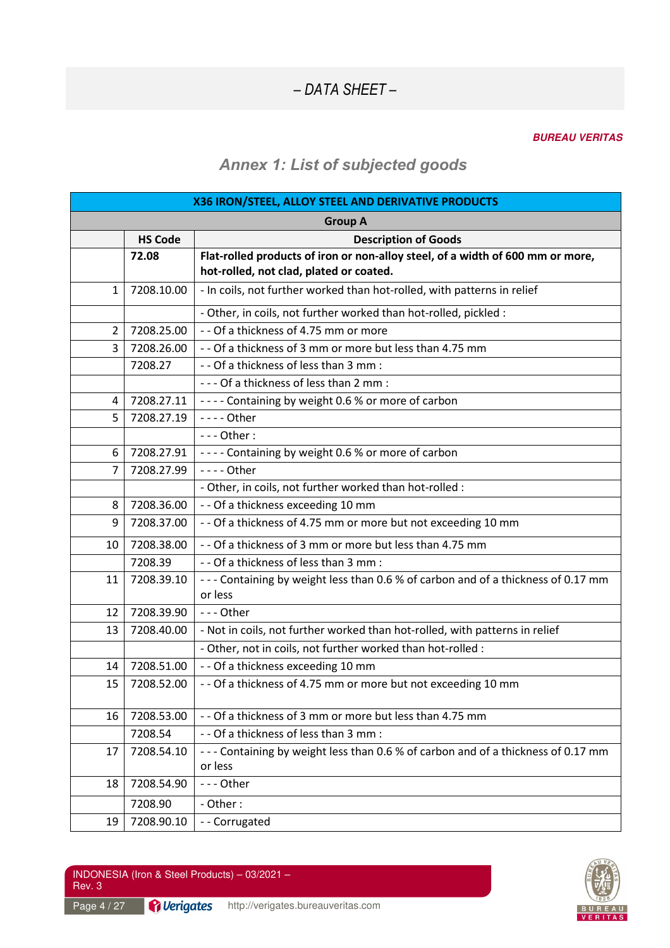#### **BUREAU VERITAS**

### *Annex 1: List of subjected goods*

| X36 IRON/STEEL, ALLOY STEEL AND DERIVATIVE PRODUCTS |                |                                                                                             |  |
|-----------------------------------------------------|----------------|---------------------------------------------------------------------------------------------|--|
| <b>Group A</b>                                      |                |                                                                                             |  |
|                                                     | <b>HS Code</b> | <b>Description of Goods</b>                                                                 |  |
|                                                     | 72.08          | Flat-rolled products of iron or non-alloy steel, of a width of 600 mm or more,              |  |
|                                                     |                | hot-rolled, not clad, plated or coated.                                                     |  |
| 1                                                   | 7208.10.00     | - In coils, not further worked than hot-rolled, with patterns in relief                     |  |
|                                                     |                | - Other, in coils, not further worked than hot-rolled, pickled :                            |  |
| $\overline{2}$                                      | 7208.25.00     | - - Of a thickness of 4.75 mm or more                                                       |  |
| 3                                                   | 7208.26.00     | - - Of a thickness of 3 mm or more but less than 4.75 mm                                    |  |
|                                                     | 7208.27        | - - Of a thickness of less than 3 mm :                                                      |  |
|                                                     |                | --- Of a thickness of less than 2 mm :                                                      |  |
| 4                                                   | 7208.27.11     | ---- Containing by weight 0.6 % or more of carbon                                           |  |
| 5                                                   | 7208.27.19     | - - - - Other                                                                               |  |
|                                                     |                | $--$ Other:                                                                                 |  |
| 6                                                   | 7208.27.91     | ---- Containing by weight 0.6 % or more of carbon                                           |  |
| $\overline{7}$                                      | 7208.27.99     | $---$ Other                                                                                 |  |
|                                                     |                | - Other, in coils, not further worked than hot-rolled :                                     |  |
| 8                                                   | 7208.36.00     | - - Of a thickness exceeding 10 mm                                                          |  |
| 9                                                   | 7208.37.00     | - - Of a thickness of 4.75 mm or more but not exceeding 10 mm                               |  |
| 10                                                  | 7208.38.00     | - - Of a thickness of 3 mm or more but less than 4.75 mm                                    |  |
|                                                     | 7208.39        | - - Of a thickness of less than 3 mm :                                                      |  |
| 11                                                  | 7208.39.10     | --- Containing by weight less than 0.6 % of carbon and of a thickness of 0.17 mm<br>or less |  |
| 12                                                  | 7208.39.90     | $--$ Other                                                                                  |  |
| 13                                                  | 7208.40.00     | - Not in coils, not further worked than hot-rolled, with patterns in relief                 |  |
|                                                     |                | - Other, not in coils, not further worked than hot-rolled :                                 |  |
| 14                                                  | 7208.51.00     | - - Of a thickness exceeding 10 mm                                                          |  |
| 15                                                  | 7208.52.00     | - - Of a thickness of 4.75 mm or more but not exceeding 10 mm                               |  |
| 16                                                  | 7208.53.00     | - - Of a thickness of 3 mm or more but less than 4.75 mm                                    |  |
|                                                     | 7208.54        | - - Of a thickness of less than 3 mm :                                                      |  |
| 17                                                  | 7208.54.10     | --- Containing by weight less than 0.6 % of carbon and of a thickness of 0.17 mm            |  |
|                                                     |                | or less                                                                                     |  |
| 18                                                  | 7208.54.90     | --- Other                                                                                   |  |
|                                                     | 7208.90        | - Other:                                                                                    |  |
| 19                                                  | 7208.90.10     | -- Corrugated                                                                               |  |

Page 4 / 27 **Perigates** http://verigates.bureauveritas.com

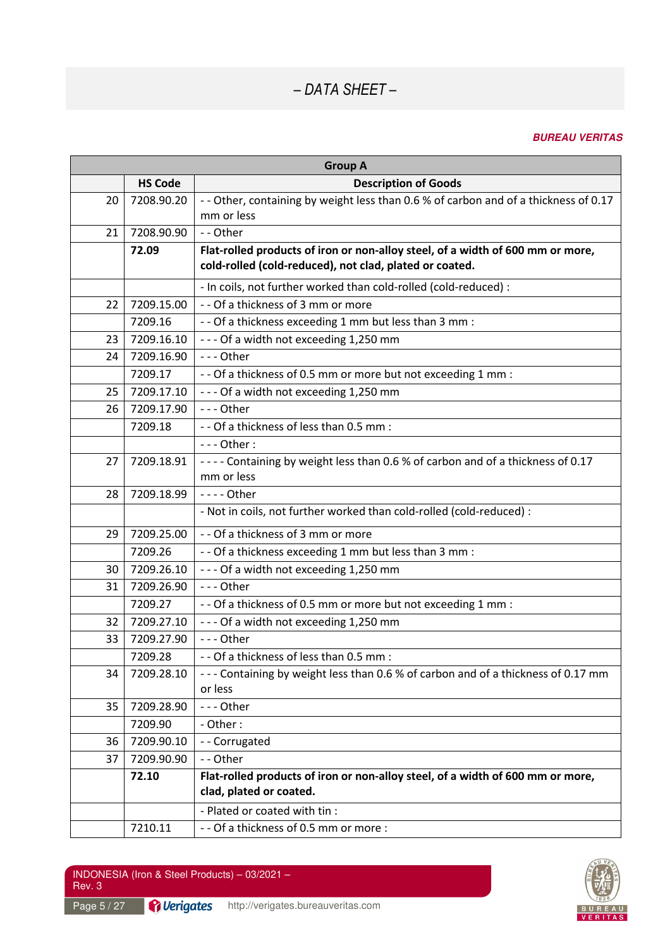| <b>Group A</b> |                |                                                                                                           |  |
|----------------|----------------|-----------------------------------------------------------------------------------------------------------|--|
|                | <b>HS Code</b> | <b>Description of Goods</b>                                                                               |  |
| 20             | 7208.90.20     | - - Other, containing by weight less than 0.6 % of carbon and of a thickness of 0.17<br>mm or less        |  |
| 21             | 7208.90.90     | -- Other                                                                                                  |  |
|                | 72.09          | Flat-rolled products of iron or non-alloy steel, of a width of 600 mm or more,                            |  |
|                |                | cold-rolled (cold-reduced), not clad, plated or coated.                                                   |  |
|                |                | - In coils, not further worked than cold-rolled (cold-reduced) :                                          |  |
| 22             | 7209.15.00     | - - Of a thickness of 3 mm or more                                                                        |  |
|                | 7209.16        | - - Of a thickness exceeding 1 mm but less than 3 mm :                                                    |  |
| 23             | 7209.16.10     | --- Of a width not exceeding 1,250 mm                                                                     |  |
| 24             | 7209.16.90     | $--$ Other                                                                                                |  |
|                | 7209.17        | - - Of a thickness of 0.5 mm or more but not exceeding 1 mm :                                             |  |
| 25             | 7209.17.10     | --- Of a width not exceeding 1,250 mm                                                                     |  |
| 26             | 7209.17.90     | --- Other                                                                                                 |  |
|                | 7209.18        | - - Of a thickness of less than 0.5 mm :                                                                  |  |
|                |                | $--$ Other:                                                                                               |  |
| 27             | 7209.18.91     | ---- Containing by weight less than 0.6 % of carbon and of a thickness of 0.17                            |  |
|                |                | mm or less                                                                                                |  |
| 28             | 7209.18.99     | - - - - Other                                                                                             |  |
|                |                | - Not in coils, not further worked than cold-rolled (cold-reduced) :                                      |  |
| 29             | 7209.25.00     | - - Of a thickness of 3 mm or more                                                                        |  |
|                | 7209.26        | - - Of a thickness exceeding 1 mm but less than 3 mm :                                                    |  |
| 30             | 7209.26.10     | --- Of a width not exceeding 1,250 mm                                                                     |  |
| 31             | 7209.26.90     | --- Other                                                                                                 |  |
|                | 7209.27        | - - Of a thickness of 0.5 mm or more but not exceeding 1 mm :                                             |  |
| 32             | 7209.27.10     | --- Of a width not exceeding 1,250 mm                                                                     |  |
| 33             | 7209.27.90     | --- Other                                                                                                 |  |
|                | 7209.28        | - - Of a thickness of less than 0.5 mm :                                                                  |  |
| 34             | 7209.28.10     | --- Containing by weight less than 0.6 % of carbon and of a thickness of 0.17 mm                          |  |
|                |                | or less                                                                                                   |  |
| 35             | 7209.28.90     | --- Other                                                                                                 |  |
|                | 7209.90        | - Other:                                                                                                  |  |
| 36             | 7209.90.10     | -- Corrugated                                                                                             |  |
| 37             | 7209.90.90     | -- Other                                                                                                  |  |
|                | 72.10          | Flat-rolled products of iron or non-alloy steel, of a width of 600 mm or more,<br>clad, plated or coated. |  |
|                |                | - Plated or coated with tin :                                                                             |  |
|                | 7210.11        | - - Of a thickness of 0.5 mm or more :                                                                    |  |

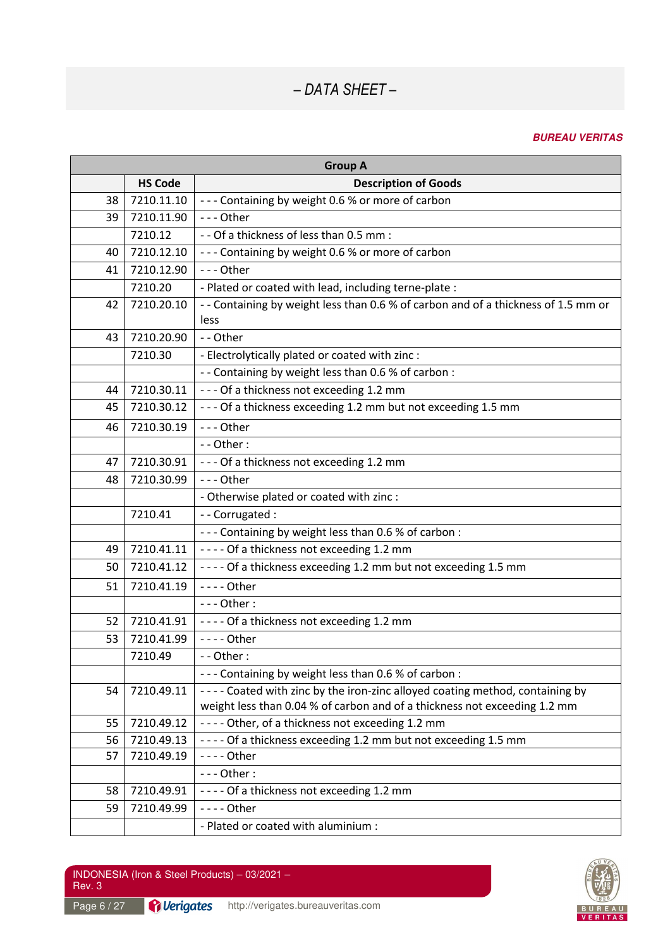| <b>Group A</b> |                |                                                                                    |  |
|----------------|----------------|------------------------------------------------------------------------------------|--|
|                | <b>HS Code</b> | <b>Description of Goods</b>                                                        |  |
| 38             | 7210.11.10     | --- Containing by weight 0.6 % or more of carbon                                   |  |
| 39             | 7210.11.90     | --- Other                                                                          |  |
|                | 7210.12        | - - Of a thickness of less than 0.5 mm :                                           |  |
| 40             | 7210.12.10     | --- Containing by weight 0.6 % or more of carbon                                   |  |
| 41             | 7210.12.90     | --- Other                                                                          |  |
|                | 7210.20        | - Plated or coated with lead, including terne-plate :                              |  |
| 42             | 7210.20.10     | - - Containing by weight less than 0.6 % of carbon and of a thickness of 1.5 mm or |  |
|                |                | less                                                                               |  |
| 43             | 7210.20.90     | - - Other                                                                          |  |
|                | 7210.30        | - Electrolytically plated or coated with zinc :                                    |  |
|                |                | - - Containing by weight less than 0.6 % of carbon :                               |  |
| 44             | 7210.30.11     | --- Of a thickness not exceeding 1.2 mm                                            |  |
| 45             | 7210.30.12     | --- Of a thickness exceeding 1.2 mm but not exceeding 1.5 mm                       |  |
| 46             | 7210.30.19     | --- Other                                                                          |  |
|                |                | $-$ - Other :                                                                      |  |
| 47             | 7210.30.91     | --- Of a thickness not exceeding 1.2 mm                                            |  |
| 48             | 7210.30.99     | --- Other                                                                          |  |
|                |                | - Otherwise plated or coated with zinc :                                           |  |
|                | 7210.41        | - - Corrugated :                                                                   |  |
|                |                | --- Containing by weight less than 0.6 % of carbon :                               |  |
| 49             | 7210.41.11     | ---- Of a thickness not exceeding 1.2 mm                                           |  |
| 50             | 7210.41.12     | - - - - Of a thickness exceeding 1.2 mm but not exceeding 1.5 mm                   |  |
| 51             | 7210.41.19     | - - - - Other                                                                      |  |
|                |                | $--$ Other:                                                                        |  |
| 52             | 7210.41.91     | ---- Of a thickness not exceeding 1.2 mm                                           |  |
| 53             | 7210.41.99     | - - - - Other                                                                      |  |
|                | 7210.49        | $-$ - Other :                                                                      |  |
|                |                | --- Containing by weight less than 0.6 % of carbon :                               |  |
| 54             | 7210.49.11     | ---- Coated with zinc by the iron-zinc alloyed coating method, containing by       |  |
|                |                | weight less than 0.04 % of carbon and of a thickness not exceeding 1.2 mm          |  |
| 55             | 7210.49.12     | ---- Other, of a thickness not exceeding 1.2 mm                                    |  |
| 56             | 7210.49.13     | - - - - Of a thickness exceeding 1.2 mm but not exceeding 1.5 mm                   |  |
| 57             | 7210.49.19     | - - - - Other                                                                      |  |
|                |                | $--$ Other:                                                                        |  |
| 58             | 7210.49.91     | ---- Of a thickness not exceeding 1.2 mm                                           |  |
| 59             | 7210.49.99     | - - - - Other                                                                      |  |
|                |                | - Plated or coated with aluminium :                                                |  |

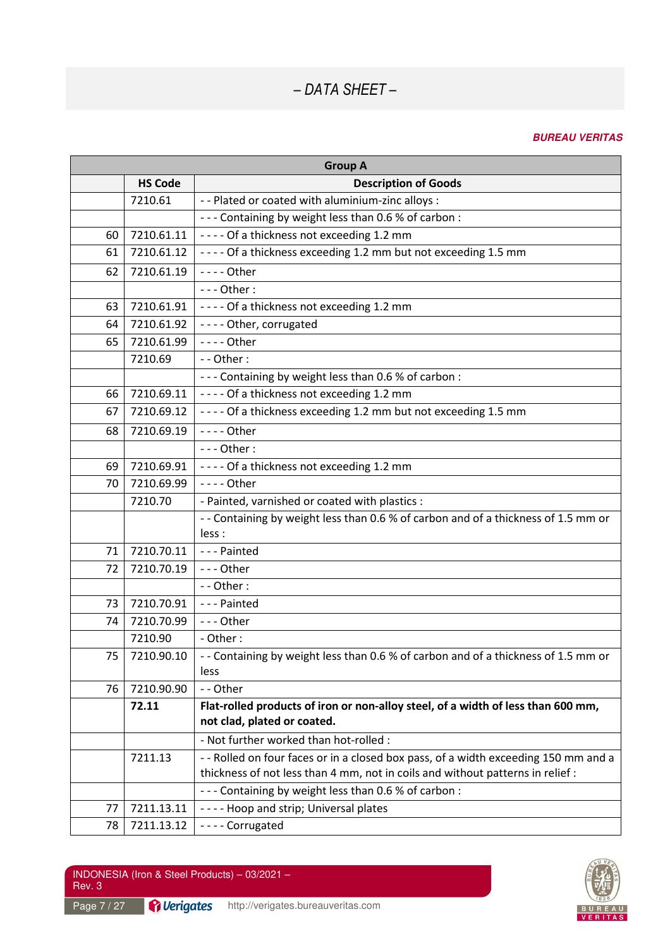|    | <b>Group A</b> |                                                                                                                 |  |  |
|----|----------------|-----------------------------------------------------------------------------------------------------------------|--|--|
|    | <b>HS Code</b> | <b>Description of Goods</b>                                                                                     |  |  |
|    | 7210.61        | - - Plated or coated with aluminium-zinc alloys :                                                               |  |  |
|    |                | --- Containing by weight less than 0.6 % of carbon :                                                            |  |  |
| 60 | 7210.61.11     | ---- Of a thickness not exceeding 1.2 mm                                                                        |  |  |
| 61 | 7210.61.12     | - - - - Of a thickness exceeding 1.2 mm but not exceeding 1.5 mm                                                |  |  |
| 62 | 7210.61.19     | - - - - Other                                                                                                   |  |  |
|    |                | $--$ Other:                                                                                                     |  |  |
| 63 | 7210.61.91     | ---- Of a thickness not exceeding 1.2 mm                                                                        |  |  |
| 64 | 7210.61.92     | ---- Other, corrugated                                                                                          |  |  |
| 65 | 7210.61.99     | - - - - Other                                                                                                   |  |  |
|    | 7210.69        | - - Other:                                                                                                      |  |  |
|    |                | --- Containing by weight less than 0.6 % of carbon :                                                            |  |  |
| 66 | 7210.69.11     | ---- Of a thickness not exceeding 1.2 mm                                                                        |  |  |
| 67 | 7210.69.12     | - - - - Of a thickness exceeding 1.2 mm but not exceeding 1.5 mm                                                |  |  |
| 68 | 7210.69.19     | - - - - Other                                                                                                   |  |  |
|    |                | $--$ Other:                                                                                                     |  |  |
| 69 | 7210.69.91     | ---- Of a thickness not exceeding 1.2 mm                                                                        |  |  |
| 70 | 7210.69.99     | - - - - Other                                                                                                   |  |  |
|    | 7210.70        | - Painted, varnished or coated with plastics :                                                                  |  |  |
|    |                | - - Containing by weight less than 0.6 % of carbon and of a thickness of 1.5 mm or                              |  |  |
|    |                | less :                                                                                                          |  |  |
| 71 | 7210.70.11     | --- Painted                                                                                                     |  |  |
| 72 | 7210.70.19     | --- Other                                                                                                       |  |  |
|    |                | - - Other:                                                                                                      |  |  |
| 73 | 7210.70.91     | --- Painted                                                                                                     |  |  |
| 74 | 7210.70.99     | --- Other                                                                                                       |  |  |
|    | 7210.90        | - Other:                                                                                                        |  |  |
| 75 | 7210.90.10     | - - Containing by weight less than 0.6 % of carbon and of a thickness of 1.5 mm or                              |  |  |
|    | 7210.90.90     | less<br>-- Other                                                                                                |  |  |
| 76 |                |                                                                                                                 |  |  |
|    | 72.11          | Flat-rolled products of iron or non-alloy steel, of a width of less than 600 mm,<br>not clad, plated or coated. |  |  |
|    |                | - Not further worked than hot-rolled :                                                                          |  |  |
|    | 7211.13        | - - Rolled on four faces or in a closed box pass, of a width exceeding 150 mm and a                             |  |  |
|    |                | thickness of not less than 4 mm, not in coils and without patterns in relief :                                  |  |  |
|    |                | --- Containing by weight less than 0.6 % of carbon :                                                            |  |  |
| 77 | 7211.13.11     | ---- Hoop and strip; Universal plates                                                                           |  |  |
| 78 | 7211.13.12     | ---- Corrugated                                                                                                 |  |  |

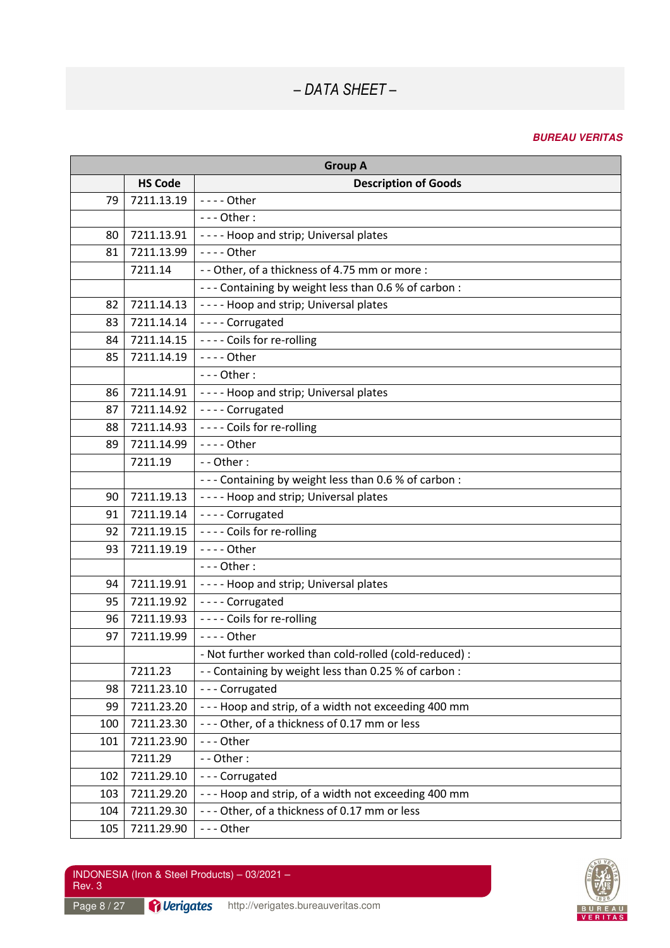| <b>Group A</b> |                |                                                        |
|----------------|----------------|--------------------------------------------------------|
|                | <b>HS Code</b> | <b>Description of Goods</b>                            |
| 79             | 7211.13.19     | - - - - Other                                          |
|                |                | $--$ Other:                                            |
| 80             | 7211.13.91     | ---- Hoop and strip; Universal plates                  |
| 81             | 7211.13.99     | - - - - Other                                          |
|                | 7211.14        | - - Other, of a thickness of 4.75 mm or more :         |
|                |                | --- Containing by weight less than 0.6 % of carbon :   |
| 82             | 7211.14.13     | ---- Hoop and strip; Universal plates                  |
| 83             | 7211.14.14     | ---- Corrugated                                        |
| 84             | 7211.14.15     | ---- Coils for re-rolling                              |
| 85             | 7211.14.19     | - - - - Other                                          |
|                |                | $--$ Other:                                            |
| 86             | 7211.14.91     | ---- Hoop and strip; Universal plates                  |
| 87             | 7211.14.92     | ---- Corrugated                                        |
| 88             | 7211.14.93     | ---- Coils for re-rolling                              |
| 89             | 7211.14.99     | $--$ - Other                                           |
|                | 7211.19        | - - Other:                                             |
|                |                | --- Containing by weight less than 0.6 % of carbon :   |
| 90             | 7211.19.13     | ---- Hoop and strip; Universal plates                  |
| 91             | 7211.19.14     | ---- Corrugated                                        |
| 92             | 7211.19.15     | ---- Coils for re-rolling                              |
| 93             | 7211.19.19     | $--$ - Other                                           |
|                |                | $--$ Other:                                            |
| 94             | 7211.19.91     | ---- Hoop and strip; Universal plates                  |
| 95             | 7211.19.92     | ---- Corrugated                                        |
| 96             | 7211.19.93     | ---- Coils for re-rolling                              |
| 97             | 7211.19.99     | - - - - Other                                          |
|                |                | - Not further worked than cold-rolled (cold-reduced) : |
|                | 7211.23        | - - Containing by weight less than 0.25 % of carbon :  |
| 98             | 7211.23.10     | --- Corrugated                                         |
| 99             | 7211.23.20     | --- Hoop and strip, of a width not exceeding 400 mm    |
| 100            | 7211.23.30     | --- Other, of a thickness of 0.17 mm or less           |
| 101            | 7211.23.90     | --- Other                                              |
|                | 7211.29        | - - Other:                                             |
| 102            | 7211.29.10     | --- Corrugated                                         |
| 103            | 7211.29.20     | --- Hoop and strip, of a width not exceeding 400 mm    |
| 104            | 7211.29.30     | --- Other, of a thickness of 0.17 mm or less           |
| 105            | 7211.29.90     | --- Other                                              |

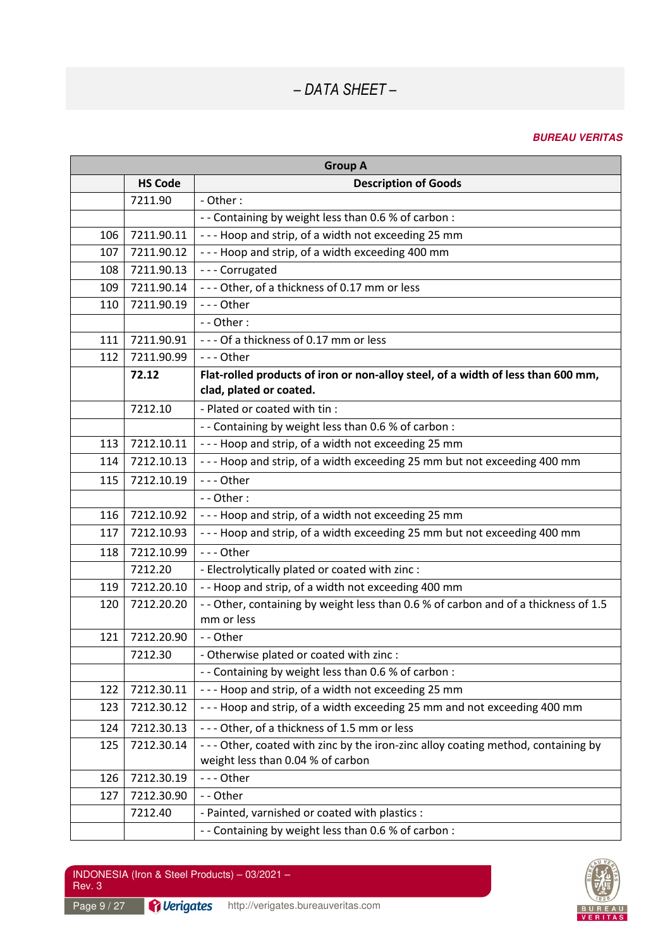| <b>Group A</b> |                |                                                                                                                       |  |
|----------------|----------------|-----------------------------------------------------------------------------------------------------------------------|--|
|                | <b>HS Code</b> | <b>Description of Goods</b>                                                                                           |  |
|                | 7211.90        | - Other:                                                                                                              |  |
|                |                | - - Containing by weight less than 0.6 % of carbon :                                                                  |  |
| 106            | 7211.90.11     | --- Hoop and strip, of a width not exceeding 25 mm                                                                    |  |
| 107            | 7211.90.12     | --- Hoop and strip, of a width exceeding 400 mm                                                                       |  |
| 108            | 7211.90.13     | --- Corrugated                                                                                                        |  |
| 109            | 7211.90.14     | --- Other, of a thickness of 0.17 mm or less                                                                          |  |
| 110            | 7211.90.19     | --- Other                                                                                                             |  |
|                |                | - - Other:                                                                                                            |  |
| 111            | 7211.90.91     | --- Of a thickness of 0.17 mm or less                                                                                 |  |
| 112            | 7211.90.99     | $--$ Other                                                                                                            |  |
|                | 72.12          | Flat-rolled products of iron or non-alloy steel, of a width of less than 600 mm,                                      |  |
|                |                | clad, plated or coated.                                                                                               |  |
|                | 7212.10        | - Plated or coated with tin :                                                                                         |  |
|                |                | - - Containing by weight less than 0.6 % of carbon :                                                                  |  |
| 113            | 7212.10.11     | --- Hoop and strip, of a width not exceeding 25 mm                                                                    |  |
| 114            | 7212.10.13     | --- Hoop and strip, of a width exceeding 25 mm but not exceeding 400 mm                                               |  |
| 115            | 7212.10.19     | --- Other                                                                                                             |  |
|                |                | - - Other:                                                                                                            |  |
| 116            | 7212.10.92     | --- Hoop and strip, of a width not exceeding 25 mm                                                                    |  |
| 117            | 7212.10.93     | --- Hoop and strip, of a width exceeding 25 mm but not exceeding 400 mm                                               |  |
| 118            | 7212.10.99     | --- Other                                                                                                             |  |
|                | 7212.20        | - Electrolytically plated or coated with zinc :                                                                       |  |
| 119            | 7212.20.10     | -- Hoop and strip, of a width not exceeding 400 mm                                                                    |  |
| 120            | 7212.20.20     | - - Other, containing by weight less than 0.6 % of carbon and of a thickness of 1.5<br>mm or less                     |  |
| 121            | 7212.20.90     | -- Other                                                                                                              |  |
|                | 7212.30        | - Otherwise plated or coated with zinc :                                                                              |  |
|                |                | - - Containing by weight less than 0.6 % of carbon :                                                                  |  |
| 122            | 7212.30.11     | --- Hoop and strip, of a width not exceeding 25 mm                                                                    |  |
| 123            | 7212.30.12     | --- Hoop and strip, of a width exceeding 25 mm and not exceeding 400 mm                                               |  |
| 124            | 7212.30.13     | --- Other, of a thickness of 1.5 mm or less                                                                           |  |
| 125            | 7212.30.14     | --- Other, coated with zinc by the iron-zinc alloy coating method, containing by<br>weight less than 0.04 % of carbon |  |
| 126            | 7212.30.19     | --- Other                                                                                                             |  |
| 127            | 7212.30.90     | -- Other                                                                                                              |  |
|                | 7212.40        | - Painted, varnished or coated with plastics :                                                                        |  |
|                |                | - - Containing by weight less than 0.6 % of carbon :                                                                  |  |

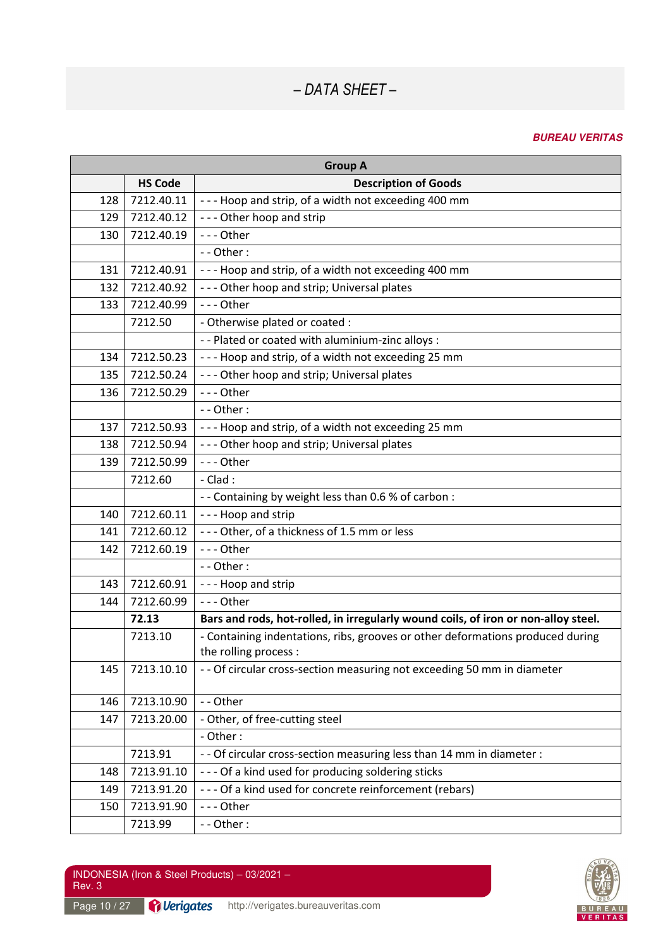| <b>Group A</b> |                |                                                                                                         |  |
|----------------|----------------|---------------------------------------------------------------------------------------------------------|--|
|                | <b>HS Code</b> | <b>Description of Goods</b>                                                                             |  |
| 128            | 7212.40.11     | --- Hoop and strip, of a width not exceeding 400 mm                                                     |  |
| 129            | 7212.40.12     | --- Other hoop and strip                                                                                |  |
| 130            | 7212.40.19     | --- Other                                                                                               |  |
|                |                | - - Other:                                                                                              |  |
| 131            | 7212.40.91     | --- Hoop and strip, of a width not exceeding 400 mm                                                     |  |
| 132            | 7212.40.92     | --- Other hoop and strip; Universal plates                                                              |  |
| 133            | 7212.40.99     | --- Other                                                                                               |  |
|                | 7212.50        | - Otherwise plated or coated :                                                                          |  |
|                |                | - - Plated or coated with aluminium-zinc alloys :                                                       |  |
| 134            | 7212.50.23     | --- Hoop and strip, of a width not exceeding 25 mm                                                      |  |
| 135            | 7212.50.24     | --- Other hoop and strip; Universal plates                                                              |  |
| 136            | 7212.50.29     | $--$ Other                                                                                              |  |
|                |                | - - Other:                                                                                              |  |
| 137            | 7212.50.93     | --- Hoop and strip, of a width not exceeding 25 mm                                                      |  |
| 138            | 7212.50.94     | --- Other hoop and strip; Universal plates                                                              |  |
| 139            | 7212.50.99     | --- Other                                                                                               |  |
|                | 7212.60        | $-$ Clad :                                                                                              |  |
|                |                | - - Containing by weight less than 0.6 % of carbon :                                                    |  |
| 140            | 7212.60.11     | --- Hoop and strip                                                                                      |  |
| 141            | 7212.60.12     | --- Other, of a thickness of 1.5 mm or less                                                             |  |
| 142            | 7212.60.19     | --- Other                                                                                               |  |
|                |                | - - Other:                                                                                              |  |
| 143            | 7212.60.91     | --- Hoop and strip                                                                                      |  |
| 144            | 7212.60.99     | --- Other                                                                                               |  |
|                | 72.13          | Bars and rods, hot-rolled, in irregularly wound coils, of iron or non-alloy steel.                      |  |
|                | 7213.10        | - Containing indentations, ribs, grooves or other deformations produced during<br>the rolling process : |  |
| 145            | 7213.10.10     | - - Of circular cross-section measuring not exceeding 50 mm in diameter                                 |  |
| 146            | 7213.10.90     | - - Other                                                                                               |  |
| 147            | 7213.20.00     | - Other, of free-cutting steel                                                                          |  |
|                |                | - Other:                                                                                                |  |
|                | 7213.91        | - - Of circular cross-section measuring less than 14 mm in diameter :                                   |  |
| 148            | 7213.91.10     | --- Of a kind used for producing soldering sticks                                                       |  |
| 149            | 7213.91.20     | --- Of a kind used for concrete reinforcement (rebars)                                                  |  |
| 150            | 7213.91.90     | --- Other                                                                                               |  |
|                | 7213.99        | --Other:                                                                                                |  |

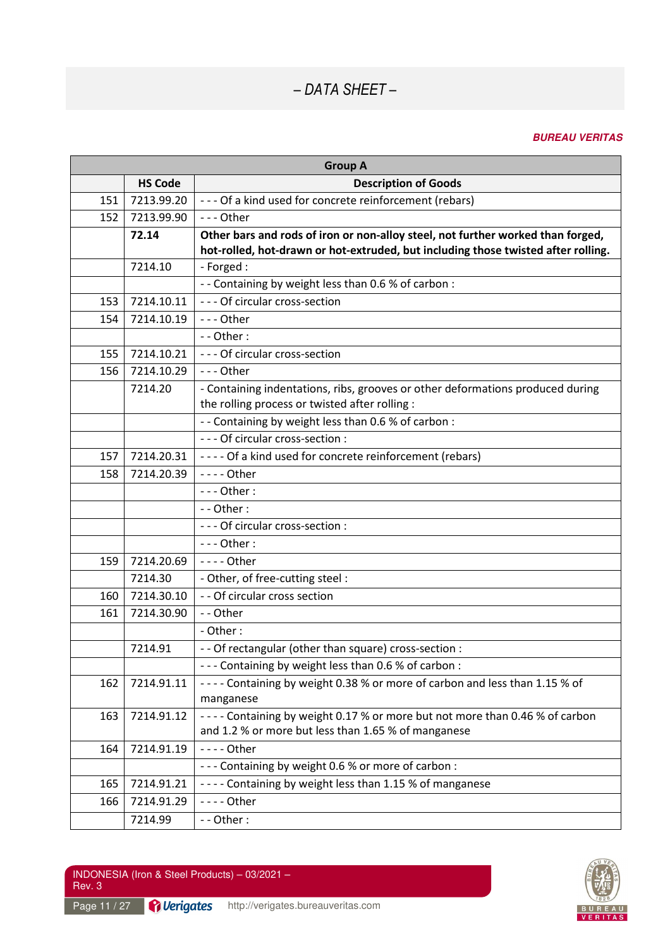| <b>Group A</b> |                |                                                                                                                                  |
|----------------|----------------|----------------------------------------------------------------------------------------------------------------------------------|
|                | <b>HS Code</b> | <b>Description of Goods</b>                                                                                                      |
| 151            | 7213.99.20     | --- Of a kind used for concrete reinforcement (rebars)                                                                           |
| 152            | 7213.99.90     | - - - Other                                                                                                                      |
|                | 72.14          | Other bars and rods of iron or non-alloy steel, not further worked than forged,                                                  |
|                |                | hot-rolled, hot-drawn or hot-extruded, but including those twisted after rolling.                                                |
|                | 7214.10        | - Forged :                                                                                                                       |
|                |                | - - Containing by weight less than 0.6 % of carbon :                                                                             |
| 153            | 7214.10.11     | --- Of circular cross-section                                                                                                    |
| 154            | 7214.10.19     | $--$ Other                                                                                                                       |
|                |                | - - Other:                                                                                                                       |
| 155            | 7214.10.21     | --- Of circular cross-section                                                                                                    |
| 156            | 7214.10.29     | $--$ Other                                                                                                                       |
|                | 7214.20        | - Containing indentations, ribs, grooves or other deformations produced during<br>the rolling process or twisted after rolling : |
|                |                | - - Containing by weight less than 0.6 % of carbon :                                                                             |
|                |                | - - - Of circular cross-section :                                                                                                |
| 157            | 7214.20.31     | ---- Of a kind used for concrete reinforcement (rebars)                                                                          |
| 158            | 7214.20.39     | $---$ Other                                                                                                                      |
|                |                | $--$ Other:                                                                                                                      |
|                |                | - - Other:                                                                                                                       |
|                |                | - - - Of circular cross-section :                                                                                                |
|                |                | $--$ Other:                                                                                                                      |
| 159            | 7214.20.69     | - - - - Other                                                                                                                    |
|                | 7214.30        | - Other, of free-cutting steel :                                                                                                 |
| 160            | 7214.30.10     | - - Of circular cross section                                                                                                    |
| 161            | 7214.30.90     | -- Other                                                                                                                         |
|                |                | - Other:                                                                                                                         |
|                | 7214.91        | - - Of rectangular (other than square) cross-section :                                                                           |
|                |                | --- Containing by weight less than 0.6 % of carbon :                                                                             |
| 162            | 7214.91.11     | ---- Containing by weight 0.38 % or more of carbon and less than 1.15 % of                                                       |
|                |                | manganese                                                                                                                        |
| 163            | 7214.91.12     | ---- Containing by weight 0.17 % or more but not more than 0.46 % of carbon                                                      |
|                |                | and 1.2 % or more but less than 1.65 % of manganese                                                                              |
| 164            | 7214.91.19     | - - - - Other                                                                                                                    |
|                |                | --- Containing by weight 0.6 % or more of carbon :                                                                               |
| 165            | 7214.91.21     | ---- Containing by weight less than 1.15 % of manganese                                                                          |
| 166            | 7214.91.29     | - - - - Other                                                                                                                    |
|                | 7214.99        | - - Other:                                                                                                                       |

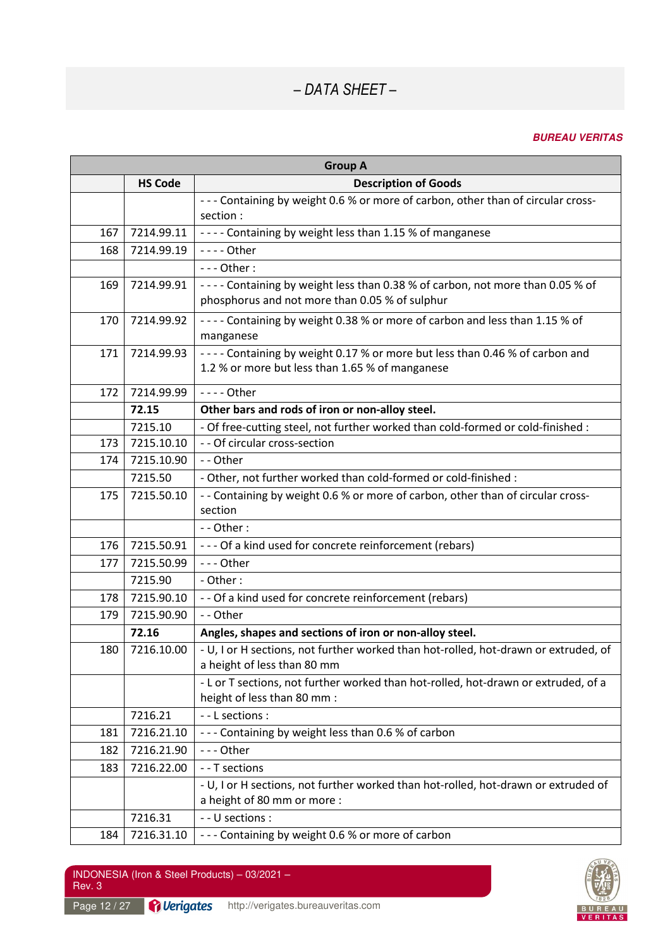| <b>Group A</b> |                |                                                                                                                                 |
|----------------|----------------|---------------------------------------------------------------------------------------------------------------------------------|
|                | <b>HS Code</b> | <b>Description of Goods</b>                                                                                                     |
|                |                | --- Containing by weight 0.6 % or more of carbon, other than of circular cross-<br>section :                                    |
| 167            | 7214.99.11     | ---- Containing by weight less than 1.15 % of manganese                                                                         |
| 168            | 7214.99.19     | $--$ - Other                                                                                                                    |
|                |                | $--$ Other:                                                                                                                     |
| 169            | 7214.99.91     | ---- Containing by weight less than 0.38 % of carbon, not more than 0.05 % of<br>phosphorus and not more than 0.05 % of sulphur |
| 170            | 7214.99.92     | ---- Containing by weight 0.38 % or more of carbon and less than 1.15 % of<br>manganese                                         |
| 171            | 7214.99.93     | ---- Containing by weight 0.17 % or more but less than 0.46 % of carbon and<br>1.2 % or more but less than 1.65 % of manganese  |
| 172            | 7214.99.99     | - - - - Other                                                                                                                   |
|                | 72.15          | Other bars and rods of iron or non-alloy steel.                                                                                 |
|                | 7215.10        | - Of free-cutting steel, not further worked than cold-formed or cold-finished :                                                 |
| 173            | 7215.10.10     | - - Of circular cross-section                                                                                                   |
| 174            | 7215.10.90     | -- Other                                                                                                                        |
|                | 7215.50        | - Other, not further worked than cold-formed or cold-finished :                                                                 |
| 175            | 7215.50.10     | - - Containing by weight 0.6 % or more of carbon, other than of circular cross-<br>section                                      |
|                |                | - - Other:                                                                                                                      |
| 176            | 7215.50.91     | --- Of a kind used for concrete reinforcement (rebars)                                                                          |
| 177            | 7215.50.99     | --- Other                                                                                                                       |
|                | 7215.90        | - Other:                                                                                                                        |
| 178            | 7215.90.10     | - - Of a kind used for concrete reinforcement (rebars)                                                                          |
| 179            | 7215.90.90     | - - Other                                                                                                                       |
|                | 72.16          | Angles, shapes and sections of iron or non-alloy steel.                                                                         |
| 180            | 7216.10.00     | - U, I or H sections, not further worked than hot-rolled, hot-drawn or extruded, of<br>a height of less than 80 mm              |
|                |                | - L or T sections, not further worked than hot-rolled, hot-drawn or extruded, of a<br>height of less than 80 mm :               |
|                | 7216.21        | - - L sections :                                                                                                                |
| 181            | 7216.21.10     | --- Containing by weight less than 0.6 % of carbon                                                                              |
| 182            | 7216.21.90     | --- Other                                                                                                                       |
| 183            | 7216.22.00     | - - T sections                                                                                                                  |
|                |                | - U, I or H sections, not further worked than hot-rolled, hot-drawn or extruded of<br>a height of 80 mm or more :               |
|                | 7216.31        | - - U sections :                                                                                                                |
| 184            | 7216.31.10     | --- Containing by weight 0.6 % or more of carbon                                                                                |

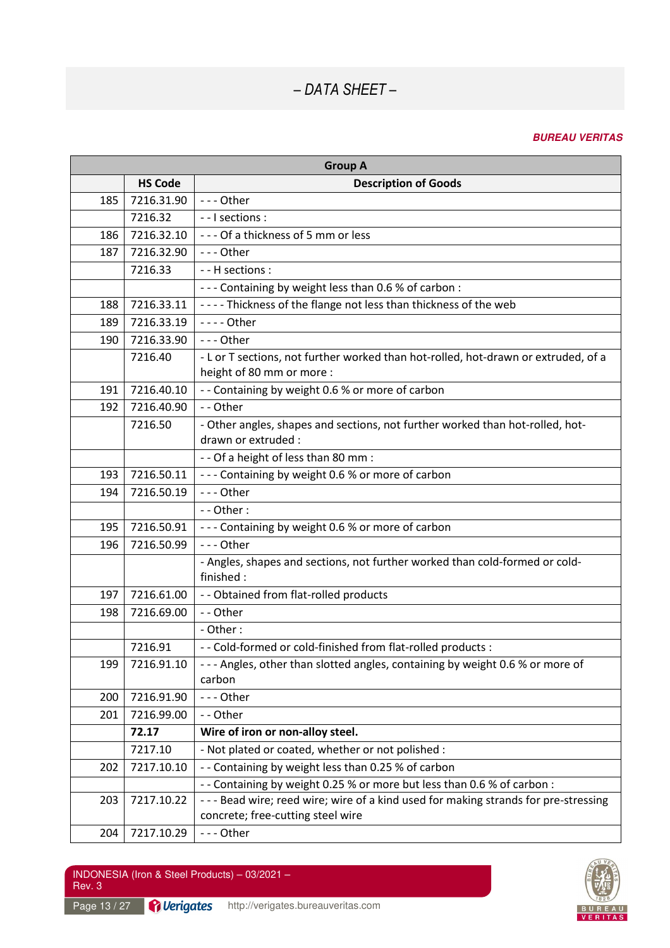#### **BUREAU VERITAS**

| <b>Group A</b> |                |                                                                                                                        |  |
|----------------|----------------|------------------------------------------------------------------------------------------------------------------------|--|
|                | <b>HS Code</b> | <b>Description of Goods</b>                                                                                            |  |
| 185            | 7216.31.90     | --- Other                                                                                                              |  |
|                | 7216.32        | - - I sections :                                                                                                       |  |
| 186            | 7216.32.10     | --- Of a thickness of 5 mm or less                                                                                     |  |
| 187            | 7216.32.90     | $--$ Other                                                                                                             |  |
|                | 7216.33        | - - H sections :                                                                                                       |  |
|                |                | --- Containing by weight less than 0.6 % of carbon :                                                                   |  |
| 188            | 7216.33.11     | ---- Thickness of the flange not less than thickness of the web                                                        |  |
| 189            | 7216.33.19     | - - - - Other                                                                                                          |  |
| 190            | 7216.33.90     | --- Other                                                                                                              |  |
|                | 7216.40        | - L or T sections, not further worked than hot-rolled, hot-drawn or extruded, of a<br>height of 80 mm or more :        |  |
| 191            | 7216.40.10     | - - Containing by weight 0.6 % or more of carbon                                                                       |  |
| 192            | 7216.40.90     | - - Other                                                                                                              |  |
|                | 7216.50        | - Other angles, shapes and sections, not further worked than hot-rolled, hot-<br>drawn or extruded :                   |  |
|                |                | - - Of a height of less than 80 mm :                                                                                   |  |
| 193            | 7216.50.11     | --- Containing by weight 0.6 % or more of carbon                                                                       |  |
| 194            | 7216.50.19     | --- Other                                                                                                              |  |
|                |                | - - Other:                                                                                                             |  |
| 195            | 7216.50.91     | --- Containing by weight 0.6 % or more of carbon                                                                       |  |
| 196            | 7216.50.99     | --- Other                                                                                                              |  |
|                |                | - Angles, shapes and sections, not further worked than cold-formed or cold-<br>finished:                               |  |
| 197            | 7216.61.00     | - - Obtained from flat-rolled products                                                                                 |  |
| 198            | 7216.69.00     | - - Other                                                                                                              |  |
|                |                | - Other:                                                                                                               |  |
|                | 7216.91        | - - Cold-formed or cold-finished from flat-rolled products :                                                           |  |
| 199            | 7216.91.10     | --- Angles, other than slotted angles, containing by weight 0.6 % or more of<br>carbon                                 |  |
| 200            | 7216.91.90     | --- Other                                                                                                              |  |
| 201            | 7216.99.00     | -- Other                                                                                                               |  |
|                | 72.17          | Wire of iron or non-alloy steel.                                                                                       |  |
|                | 7217.10        | - Not plated or coated, whether or not polished :                                                                      |  |
| 202            | 7217.10.10     | - - Containing by weight less than 0.25 % of carbon                                                                    |  |
|                |                | - - Containing by weight 0.25 % or more but less than 0.6 % of carbon :                                                |  |
| 203            | 7217.10.22     | ---Bead wire; reed wire; wire of a kind used for making strands for pre-stressing<br>concrete; free-cutting steel wire |  |
| 204            | 7217.10.29     | --- Other                                                                                                              |  |

INDONESIA (Iron & Steel Products) – 03/2021 – Rev. 3

Page 13 / 27 **Derigates** http://verigates.bureauveritas.com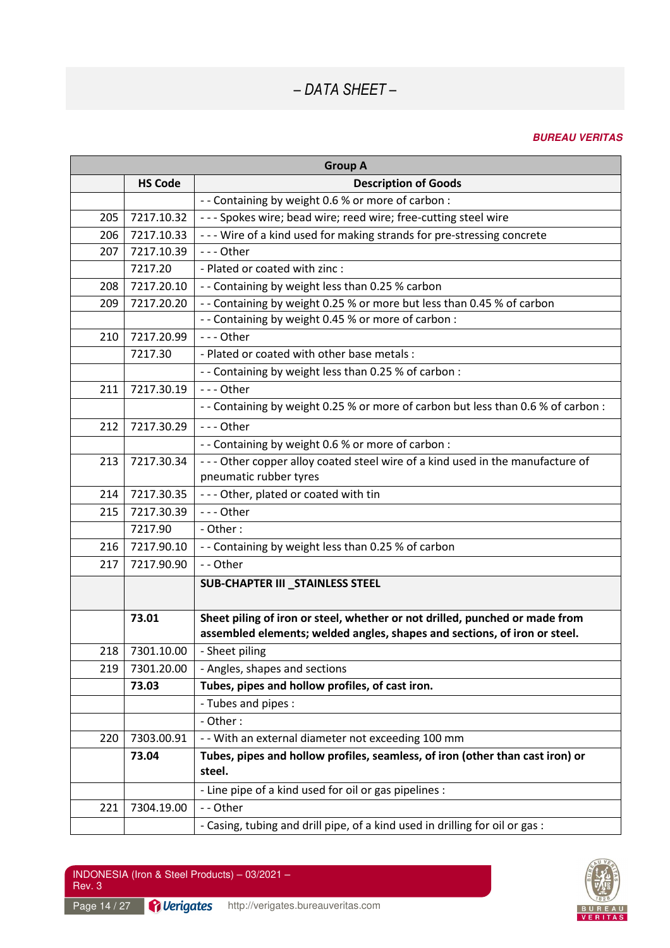| <b>Group A</b> |                |                                                                                         |
|----------------|----------------|-----------------------------------------------------------------------------------------|
|                | <b>HS Code</b> | <b>Description of Goods</b>                                                             |
|                |                | - - Containing by weight 0.6 % or more of carbon :                                      |
| 205            | 7217.10.32     | --- Spokes wire; bead wire; reed wire; free-cutting steel wire                          |
| 206            | 7217.10.33     | --- Wire of a kind used for making strands for pre-stressing concrete                   |
| 207            | 7217.10.39     | --- Other                                                                               |
|                | 7217.20        | - Plated or coated with zinc :                                                          |
| 208            | 7217.20.10     | -- Containing by weight less than 0.25 % carbon                                         |
| 209            | 7217.20.20     | - - Containing by weight 0.25 % or more but less than 0.45 % of carbon                  |
|                |                | - - Containing by weight 0.45 % or more of carbon :                                     |
| 210            | 7217.20.99     | - - - Other                                                                             |
|                | 7217.30        | - Plated or coated with other base metals :                                             |
|                |                | - - Containing by weight less than 0.25 % of carbon :                                   |
| 211            | 7217.30.19     | $--$ Other                                                                              |
|                |                | - - Containing by weight 0.25 % or more of carbon but less than 0.6 % of carbon :       |
| 212            | 7217.30.29     | $--$ Other                                                                              |
|                |                | - - Containing by weight 0.6 % or more of carbon :                                      |
| 213            | 7217.30.34     | --- Other copper alloy coated steel wire of a kind used in the manufacture of           |
|                |                | pneumatic rubber tyres                                                                  |
| 214            | 7217.30.35     | --- Other, plated or coated with tin                                                    |
| 215            | 7217.30.39     | --- Other                                                                               |
|                | 7217.90        | - Other :                                                                               |
| 216            | 7217.90.10     | - - Containing by weight less than 0.25 % of carbon                                     |
| 217            | 7217.90.90     | - - Other                                                                               |
|                |                | <b>SUB-CHAPTER III _STAINLESS STEEL</b>                                                 |
|                | 73.01          | Sheet piling of iron or steel, whether or not drilled, punched or made from             |
|                |                | assembled elements; welded angles, shapes and sections, of iron or steel.               |
| 218            | 7301.10.00     | - Sheet piling                                                                          |
| 219            | 7301.20.00     | - Angles, shapes and sections                                                           |
|                | 73.03          | Tubes, pipes and hollow profiles, of cast iron.                                         |
|                |                | - Tubes and pipes :                                                                     |
|                |                | - Other:                                                                                |
| 220            | 7303.00.91     | - - With an external diameter not exceeding 100 mm                                      |
|                | 73.04          | Tubes, pipes and hollow profiles, seamless, of iron (other than cast iron) or<br>steel. |
|                |                | - Line pipe of a kind used for oil or gas pipelines :                                   |
| 221            | 7304.19.00     | - - Other                                                                               |
|                |                | - Casing, tubing and drill pipe, of a kind used in drilling for oil or gas :            |

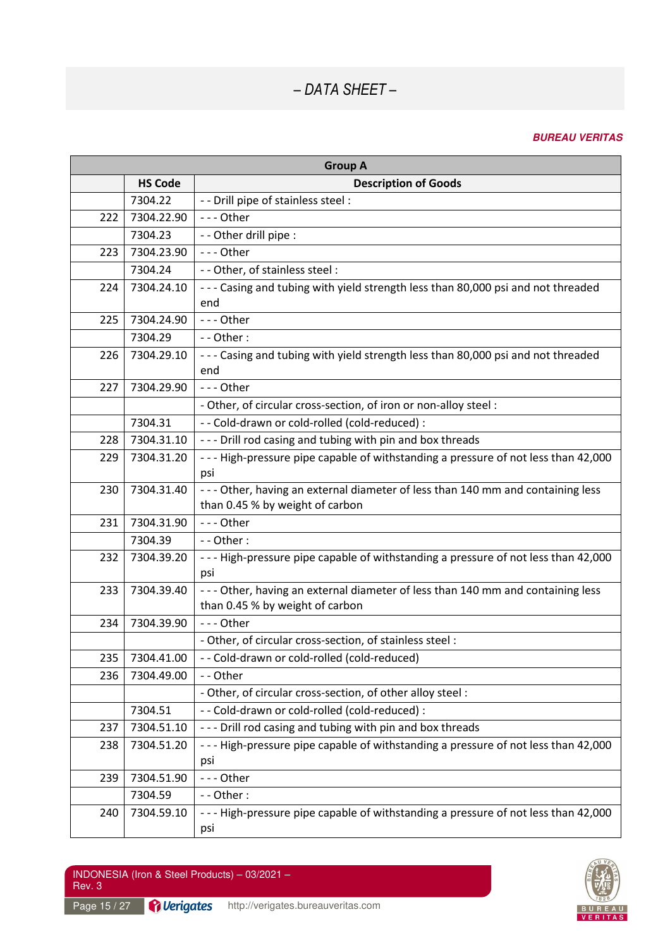| <b>Group A</b> |                |                                                                                                                   |  |
|----------------|----------------|-------------------------------------------------------------------------------------------------------------------|--|
|                | <b>HS Code</b> | <b>Description of Goods</b>                                                                                       |  |
|                | 7304.22        | - - Drill pipe of stainless steel :                                                                               |  |
| 222            | 7304.22.90     | --- Other                                                                                                         |  |
|                | 7304.23        | - - Other drill pipe :                                                                                            |  |
| 223            | 7304.23.90     | --- Other                                                                                                         |  |
|                | 7304.24        | - - Other, of stainless steel :                                                                                   |  |
| 224            | 7304.24.10     | --- Casing and tubing with yield strength less than 80,000 psi and not threaded<br>end                            |  |
| 225            | 7304.24.90     | --- Other                                                                                                         |  |
|                | 7304.29        | $-$ - Other :                                                                                                     |  |
| 226            | 7304.29.10     | --- Casing and tubing with yield strength less than 80,000 psi and not threaded<br>end                            |  |
| 227            | 7304.29.90     | --- Other                                                                                                         |  |
|                |                | - Other, of circular cross-section, of iron or non-alloy steel :                                                  |  |
|                | 7304.31        | - - Cold-drawn or cold-rolled (cold-reduced) :                                                                    |  |
| 228            | 7304.31.10     | --- Drill rod casing and tubing with pin and box threads                                                          |  |
| 229            | 7304.31.20     | --- High-pressure pipe capable of withstanding a pressure of not less than 42,000<br>psi                          |  |
| 230            | 7304.31.40     | --- Other, having an external diameter of less than 140 mm and containing less<br>than 0.45 % by weight of carbon |  |
| 231            | 7304.31.90     | --- Other                                                                                                         |  |
|                | 7304.39        | $-$ - Other :                                                                                                     |  |
| 232            | 7304.39.20     | --- High-pressure pipe capable of withstanding a pressure of not less than 42,000<br>psi                          |  |
| 233            | 7304.39.40     | --- Other, having an external diameter of less than 140 mm and containing less<br>than 0.45 % by weight of carbon |  |
| 234            | 7304.39.90     | $--$ Other                                                                                                        |  |
|                |                | - Other, of circular cross-section, of stainless steel :                                                          |  |
| 235            | 7304.41.00     | - - Cold-drawn or cold-rolled (cold-reduced)                                                                      |  |
| 236            | 7304.49.00     | -- Other                                                                                                          |  |
|                |                | - Other, of circular cross-section, of other alloy steel :                                                        |  |
|                | 7304.51        | - - Cold-drawn or cold-rolled (cold-reduced) :                                                                    |  |
| 237            | 7304.51.10     | --- Drill rod casing and tubing with pin and box threads                                                          |  |
| 238            | 7304.51.20     | --- High-pressure pipe capable of withstanding a pressure of not less than 42,000<br>psi                          |  |
| 239            | 7304.51.90     | --- Other                                                                                                         |  |
|                | 7304.59        | - - Other:                                                                                                        |  |
| 240            | 7304.59.10     | --- High-pressure pipe capable of withstanding a pressure of not less than 42,000<br>psi                          |  |

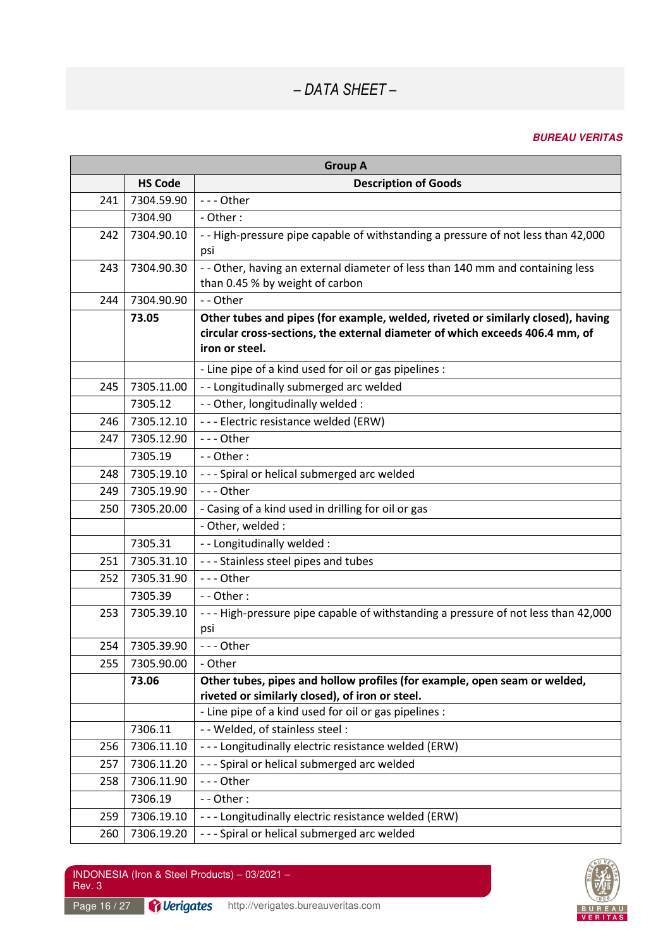| <b>Group A</b> |                |                                                                                   |
|----------------|----------------|-----------------------------------------------------------------------------------|
|                | <b>HS Code</b> | <b>Description of Goods</b>                                                       |
| 241            | 7304.59.90     | $--$ Other                                                                        |
|                | 7304.90        | - Other:                                                                          |
| 242            | 7304.90.10     | - - High-pressure pipe capable of withstanding a pressure of not less than 42,000 |
|                |                | psi                                                                               |
| 243            | 7304.90.30     | - - Other, having an external diameter of less than 140 mm and containing less    |
|                |                | than 0.45 % by weight of carbon                                                   |
| 244            | 7304.90.90     | - - Other                                                                         |
|                | 73.05          | Other tubes and pipes (for example, welded, riveted or similarly closed), having  |
|                |                | circular cross-sections, the external diameter of which exceeds 406.4 mm, of      |
|                |                | iron or steel.                                                                    |
|                |                | - Line pipe of a kind used for oil or gas pipelines :                             |
| 245            | 7305.11.00     | -- Longitudinally submerged arc welded                                            |
|                | 7305.12        | - - Other, longitudinally welded :                                                |
| 246            | 7305.12.10     | --- Electric resistance welded (ERW)                                              |
| 247            | 7305.12.90     | $--$ Other                                                                        |
|                | 7305.19        | $-$ - Other :                                                                     |
| 248            | 7305.19.10     | --- Spiral or helical submerged arc welded                                        |
| 249            | 7305.19.90     | --- Other                                                                         |
| 250            | 7305.20.00     | - Casing of a kind used in drilling for oil or gas                                |
|                |                | - Other, welded :                                                                 |
|                | 7305.31        | - - Longitudinally welded :                                                       |
| 251            | 7305.31.10     | --- Stainless steel pipes and tubes                                               |
| 252            | 7305.31.90     | --- Other                                                                         |
|                | 7305.39        | $-$ - Other :                                                                     |
| 253            | 7305.39.10     | --- High-pressure pipe capable of withstanding a pressure of not less than 42,000 |
|                |                | psi                                                                               |
| 254            | 7305.39.90     | --- Other                                                                         |
| 255            | 7305.90.00     | - Other                                                                           |
|                | 73.06          | Other tubes, pipes and hollow profiles (for example, open seam or welded,         |
|                |                | riveted or similarly closed), of iron or steel.                                   |
|                |                | - Line pipe of a kind used for oil or gas pipelines :                             |
|                | 7306.11        | - - Welded, of stainless steel :                                                  |
| 256            | 7306.11.10     | --- Longitudinally electric resistance welded (ERW)                               |
| 257            | 7306.11.20     | --- Spiral or helical submerged arc welded                                        |
| 258            | 7306.11.90     | --- Other                                                                         |
|                | 7306.19        | $-$ - Other :                                                                     |
| 259            | 7306.19.10     | --- Longitudinally electric resistance welded (ERW)                               |
| 260            | 7306.19.20     | --- Spiral or helical submerged arc welded                                        |

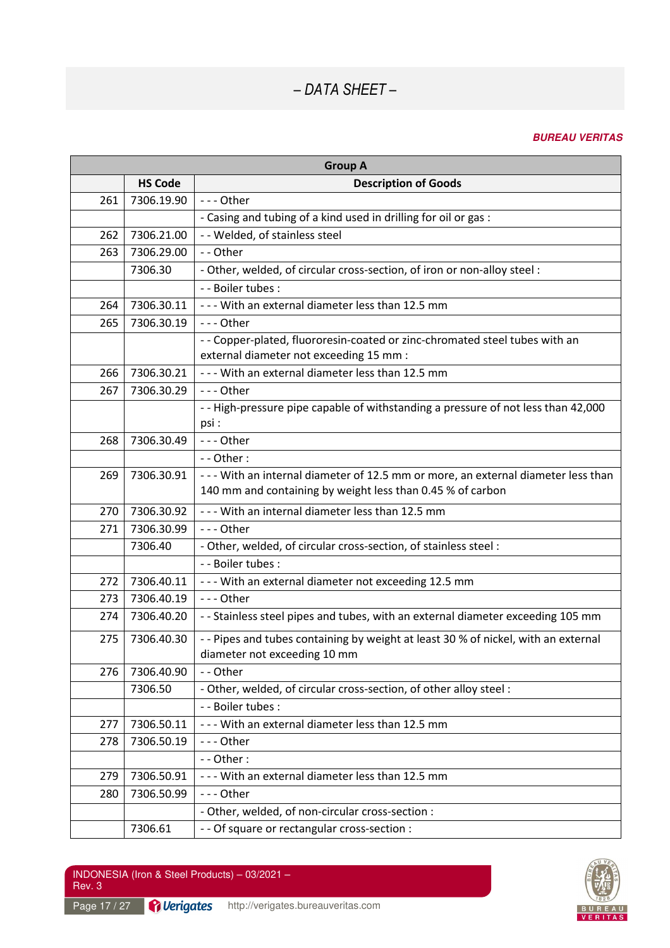| <b>Group A</b> |                |                                                                                                                                                |  |
|----------------|----------------|------------------------------------------------------------------------------------------------------------------------------------------------|--|
|                | <b>HS Code</b> | <b>Description of Goods</b>                                                                                                                    |  |
| 261            | 7306.19.90     | --- Other                                                                                                                                      |  |
|                |                | - Casing and tubing of a kind used in drilling for oil or gas :                                                                                |  |
| 262            | 7306.21.00     | - - Welded, of stainless steel                                                                                                                 |  |
| 263            | 7306.29.00     | -- Other                                                                                                                                       |  |
|                | 7306.30        | - Other, welded, of circular cross-section, of iron or non-alloy steel:                                                                        |  |
|                |                | - - Boiler tubes :                                                                                                                             |  |
| 264            | 7306.30.11     | - - - With an external diameter less than 12.5 mm                                                                                              |  |
| 265            | 7306.30.19     | --- Other                                                                                                                                      |  |
|                |                | - - Copper-plated, fluororesin-coated or zinc-chromated steel tubes with an<br>external diameter not exceeding 15 mm :                         |  |
| 266            | 7306.30.21     | --- With an external diameter less than 12.5 mm                                                                                                |  |
| 267            | 7306.30.29     | --- Other                                                                                                                                      |  |
|                |                | - - High-pressure pipe capable of withstanding a pressure of not less than 42,000<br>psi :                                                     |  |
| 268            | 7306.30.49     | $--$ Other                                                                                                                                     |  |
|                |                | $-$ - Other :                                                                                                                                  |  |
| 269            | 7306.30.91     | --- With an internal diameter of 12.5 mm or more, an external diameter less than<br>140 mm and containing by weight less than 0.45 % of carbon |  |
| 270            | 7306.30.92     | --- With an internal diameter less than 12.5 mm                                                                                                |  |
| 271            | 7306.30.99     | --- Other                                                                                                                                      |  |
|                | 7306.40        | - Other, welded, of circular cross-section, of stainless steel :                                                                               |  |
|                |                | - - Boiler tubes :                                                                                                                             |  |
| 272            | 7306.40.11     | --- With an external diameter not exceeding 12.5 mm                                                                                            |  |
| 273            | 7306.40.19     | $--$ Other                                                                                                                                     |  |
| 274            | 7306.40.20     | - - Stainless steel pipes and tubes, with an external diameter exceeding 105 mm                                                                |  |
| 275            | 7306.40.30     | - - Pipes and tubes containing by weight at least 30 % of nickel, with an external<br>diameter not exceeding 10 mm                             |  |
| 276            | 7306.40.90     | - - Other                                                                                                                                      |  |
|                | 7306.50        | - Other, welded, of circular cross-section, of other alloy steel :                                                                             |  |
|                |                | - - Boiler tubes :                                                                                                                             |  |
| 277            | 7306.50.11     | --- With an external diameter less than 12.5 mm                                                                                                |  |
| 278            | 7306.50.19     | --- Other                                                                                                                                      |  |
|                |                | - - Other:                                                                                                                                     |  |
| 279            | 7306.50.91     | - - - With an external diameter less than 12.5 mm                                                                                              |  |
| 280            | 7306.50.99     | --- Other                                                                                                                                      |  |
|                |                | - Other, welded, of non-circular cross-section :                                                                                               |  |
|                | 7306.61        | - - Of square or rectangular cross-section :                                                                                                   |  |

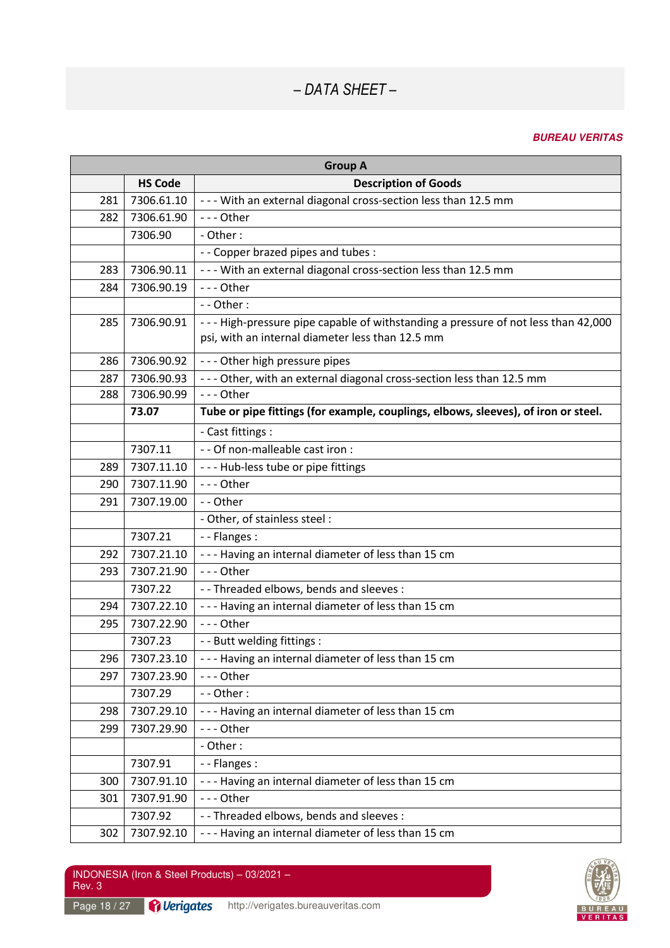| <b>Group A</b> |                |                                                                                    |  |
|----------------|----------------|------------------------------------------------------------------------------------|--|
|                | <b>HS Code</b> | <b>Description of Goods</b>                                                        |  |
| 281            | 7306.61.10     | - - - With an external diagonal cross-section less than 12.5 mm                    |  |
| 282            | 7306.61.90     | $--$ Other                                                                         |  |
|                | 7306.90        | - Other:                                                                           |  |
|                |                | - - Copper brazed pipes and tubes :                                                |  |
| 283            | 7306.90.11     | - - - With an external diagonal cross-section less than 12.5 mm                    |  |
| 284            | 7306.90.19     | --- Other                                                                          |  |
|                |                | $-$ - Other :                                                                      |  |
| 285            | 7306.90.91     | --- High-pressure pipe capable of withstanding a pressure of not less than 42,000  |  |
|                |                | psi, with an internal diameter less than 12.5 mm                                   |  |
| 286            | 7306.90.92     | --- Other high pressure pipes                                                      |  |
| 287            | 7306.90.93     | - - - Other, with an external diagonal cross-section less than 12.5 mm             |  |
| 288            | 7306.90.99     | --- Other                                                                          |  |
|                | 73.07          | Tube or pipe fittings (for example, couplings, elbows, sleeves), of iron or steel. |  |
|                |                | - Cast fittings :                                                                  |  |
|                | 7307.11        | - - Of non-malleable cast iron :                                                   |  |
| 289            | 7307.11.10     | - - - Hub-less tube or pipe fittings                                               |  |
| 290            | 7307.11.90     | --- Other                                                                          |  |
| 291            | 7307.19.00     | -- Other                                                                           |  |
|                |                | - Other, of stainless steel :                                                      |  |
|                | 7307.21        | - - Flanges :                                                                      |  |
| 292            | 7307.21.10     | --- Having an internal diameter of less than 15 cm                                 |  |
| 293            | 7307.21.90     | --- Other                                                                          |  |
|                | 7307.22        | - - Threaded elbows, bends and sleeves :                                           |  |
| 294            | 7307.22.10     | --- Having an internal diameter of less than 15 cm                                 |  |
| 295            | 7307.22.90     | $--$ Other                                                                         |  |
|                | 7307.23        | - - Butt welding fittings :                                                        |  |
| 296            | 7307.23.10     | --- Having an internal diameter of less than 15 cm                                 |  |
| 297            | 7307.23.90     | --- Other                                                                          |  |
|                | 7307.29        | - - Other:                                                                         |  |
| 298            | 7307.29.10     | --- Having an internal diameter of less than 15 cm                                 |  |
| 299            | 7307.29.90     | --- Other                                                                          |  |
|                |                | - Other:                                                                           |  |
|                | 7307.91        | - - Flanges :                                                                      |  |
| 300            | 7307.91.10     | --- Having an internal diameter of less than 15 cm                                 |  |
| 301            | 7307.91.90     | --- Other                                                                          |  |
|                | 7307.92        | - - Threaded elbows, bends and sleeves :                                           |  |
| 302            | 7307.92.10     | --- Having an internal diameter of less than 15 cm                                 |  |

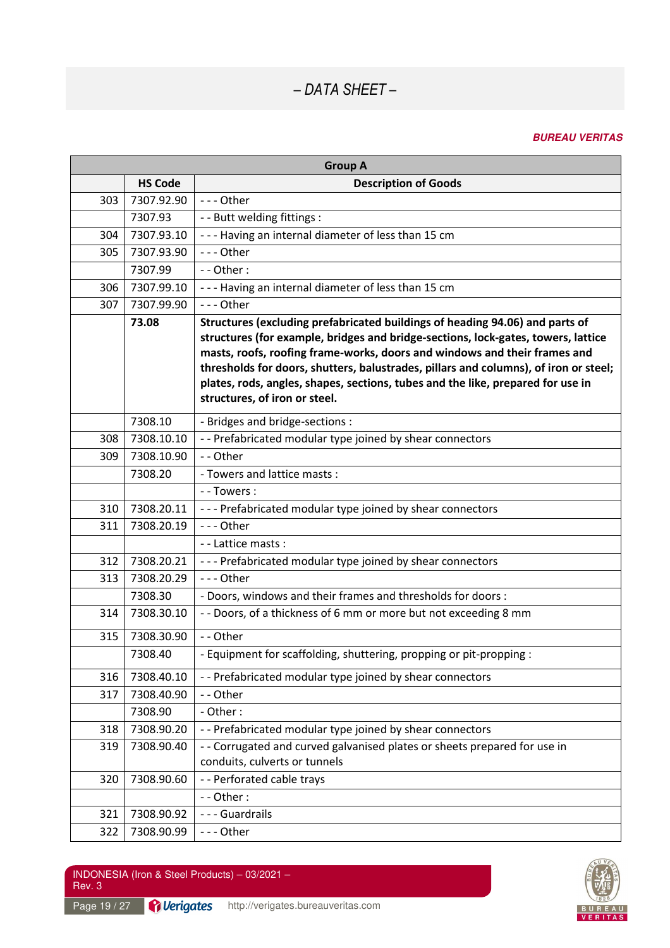#### **BUREAU VERITAS**

| <b>Group A</b> |                |                                                                                                                                                                                                                                                                                                                                                                                                                                                            |  |
|----------------|----------------|------------------------------------------------------------------------------------------------------------------------------------------------------------------------------------------------------------------------------------------------------------------------------------------------------------------------------------------------------------------------------------------------------------------------------------------------------------|--|
|                | <b>HS Code</b> | <b>Description of Goods</b>                                                                                                                                                                                                                                                                                                                                                                                                                                |  |
| 303            | 7307.92.90     | --- Other                                                                                                                                                                                                                                                                                                                                                                                                                                                  |  |
|                | 7307.93        | - - Butt welding fittings :                                                                                                                                                                                                                                                                                                                                                                                                                                |  |
| 304            | 7307.93.10     | --- Having an internal diameter of less than 15 cm                                                                                                                                                                                                                                                                                                                                                                                                         |  |
| 305            | 7307.93.90     | --- Other                                                                                                                                                                                                                                                                                                                                                                                                                                                  |  |
|                | 7307.99        | - - Other:                                                                                                                                                                                                                                                                                                                                                                                                                                                 |  |
| 306            | 7307.99.10     | --- Having an internal diameter of less than 15 cm                                                                                                                                                                                                                                                                                                                                                                                                         |  |
| 307            | 7307.99.90     | --- Other                                                                                                                                                                                                                                                                                                                                                                                                                                                  |  |
|                | 73.08          | Structures (excluding prefabricated buildings of heading 94.06) and parts of<br>structures (for example, bridges and bridge-sections, lock-gates, towers, lattice<br>masts, roofs, roofing frame-works, doors and windows and their frames and<br>thresholds for doors, shutters, balustrades, pillars and columns), of iron or steel;<br>plates, rods, angles, shapes, sections, tubes and the like, prepared for use in<br>structures, of iron or steel. |  |
|                | 7308.10        | - Bridges and bridge-sections :                                                                                                                                                                                                                                                                                                                                                                                                                            |  |
| 308            | 7308.10.10     | -- Prefabricated modular type joined by shear connectors                                                                                                                                                                                                                                                                                                                                                                                                   |  |
| 309            | 7308.10.90     | - - Other                                                                                                                                                                                                                                                                                                                                                                                                                                                  |  |
|                | 7308.20        | - Towers and lattice masts :                                                                                                                                                                                                                                                                                                                                                                                                                               |  |
|                |                | - - Towers :                                                                                                                                                                                                                                                                                                                                                                                                                                               |  |
| 310            | 7308.20.11     | --- Prefabricated modular type joined by shear connectors                                                                                                                                                                                                                                                                                                                                                                                                  |  |
| 311            | 7308.20.19     | --- Other                                                                                                                                                                                                                                                                                                                                                                                                                                                  |  |
|                |                | - - Lattice masts :                                                                                                                                                                                                                                                                                                                                                                                                                                        |  |
| 312            | 7308.20.21     | --- Prefabricated modular type joined by shear connectors                                                                                                                                                                                                                                                                                                                                                                                                  |  |
| 313            | 7308.20.29     | --- Other                                                                                                                                                                                                                                                                                                                                                                                                                                                  |  |
|                | 7308.30        | - Doors, windows and their frames and thresholds for doors :                                                                                                                                                                                                                                                                                                                                                                                               |  |
| 314            | 7308.30.10     | - - Doors, of a thickness of 6 mm or more but not exceeding 8 mm                                                                                                                                                                                                                                                                                                                                                                                           |  |
| 315            | 7308.30.90     | -- Other                                                                                                                                                                                                                                                                                                                                                                                                                                                   |  |
|                | 7308.40        | - Equipment for scaffolding, shuttering, propping or pit-propping :                                                                                                                                                                                                                                                                                                                                                                                        |  |
| 316            | 7308.40.10     | -- Prefabricated modular type joined by shear connectors                                                                                                                                                                                                                                                                                                                                                                                                   |  |
| 317            | 7308.40.90     | -- Other                                                                                                                                                                                                                                                                                                                                                                                                                                                   |  |
|                | 7308.90        | - Other:                                                                                                                                                                                                                                                                                                                                                                                                                                                   |  |
| 318            | 7308.90.20     | -- Prefabricated modular type joined by shear connectors                                                                                                                                                                                                                                                                                                                                                                                                   |  |
| 319            | 7308.90.40     | - - Corrugated and curved galvanised plates or sheets prepared for use in<br>conduits, culverts or tunnels                                                                                                                                                                                                                                                                                                                                                 |  |
| 320            | 7308.90.60     | - - Perforated cable trays                                                                                                                                                                                                                                                                                                                                                                                                                                 |  |
|                |                | - - Other:                                                                                                                                                                                                                                                                                                                                                                                                                                                 |  |
| 321            | 7308.90.92     | --- Guardrails                                                                                                                                                                                                                                                                                                                                                                                                                                             |  |
| 322            | 7308.90.99     | --- Other                                                                                                                                                                                                                                                                                                                                                                                                                                                  |  |

Page 19 / 27 **Perigates** http://verigates.bureauveritas.com

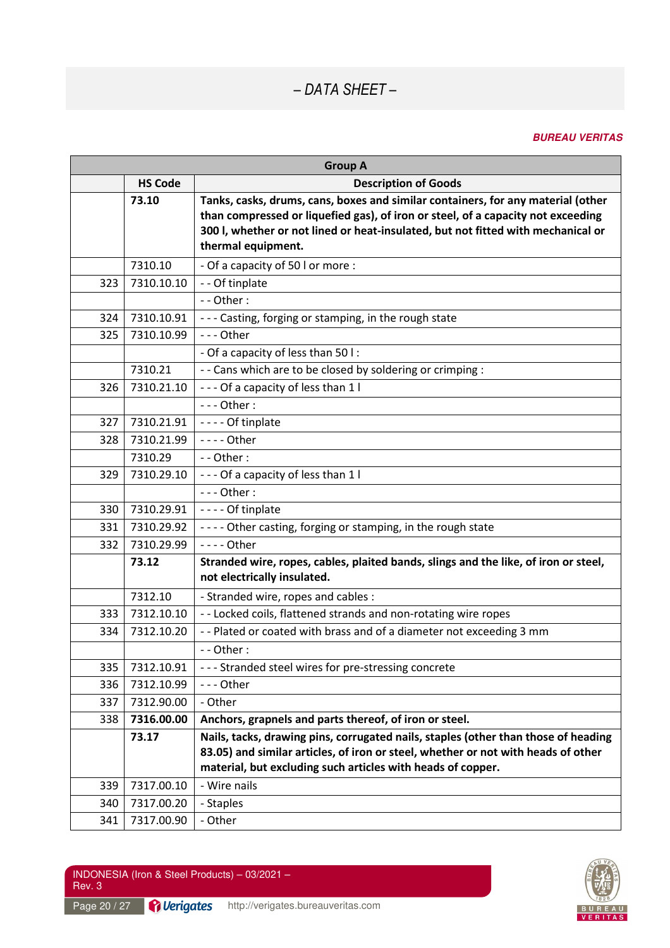#### **BUREAU VERITAS**

| <b>Group A</b> |                |                                                                                                                                                                                                                                                                                |
|----------------|----------------|--------------------------------------------------------------------------------------------------------------------------------------------------------------------------------------------------------------------------------------------------------------------------------|
|                | <b>HS Code</b> | <b>Description of Goods</b>                                                                                                                                                                                                                                                    |
|                | 73.10          | Tanks, casks, drums, cans, boxes and similar containers, for any material (other<br>than compressed or liquefied gas), of iron or steel, of a capacity not exceeding<br>300 l, whether or not lined or heat-insulated, but not fitted with mechanical or<br>thermal equipment. |
|                | 7310.10        | - Of a capacity of 50 l or more :                                                                                                                                                                                                                                              |
| 323            | 7310.10.10     | - - Of tinplate                                                                                                                                                                                                                                                                |
|                |                | - - Other:                                                                                                                                                                                                                                                                     |
| 324            | 7310.10.91     | --- Casting, forging or stamping, in the rough state                                                                                                                                                                                                                           |
| 325            | 7310.10.99     | --- Other                                                                                                                                                                                                                                                                      |
|                |                | - Of a capacity of less than 50 l:                                                                                                                                                                                                                                             |
|                | 7310.21        | - - Cans which are to be closed by soldering or crimping :                                                                                                                                                                                                                     |
| 326            | 7310.21.10     | --- Of a capacity of less than 1 l                                                                                                                                                                                                                                             |
|                |                | $--$ Other:                                                                                                                                                                                                                                                                    |
| 327            | 7310.21.91     | ---- Of tinplate                                                                                                                                                                                                                                                               |
| 328            | 7310.21.99     | $--$ Other                                                                                                                                                                                                                                                                     |
|                | 7310.29        | - - Other:                                                                                                                                                                                                                                                                     |
| 329            | 7310.29.10     | --- Of a capacity of less than 1 l                                                                                                                                                                                                                                             |
|                |                | $--$ Other:                                                                                                                                                                                                                                                                    |
| 330            | 7310.29.91     | ---- Of tinplate                                                                                                                                                                                                                                                               |
| 331            | 7310.29.92     | ---- Other casting, forging or stamping, in the rough state                                                                                                                                                                                                                    |
| 332            | 7310.29.99     | - - - - Other                                                                                                                                                                                                                                                                  |
|                | 73.12          | Stranded wire, ropes, cables, plaited bands, slings and the like, of iron or steel,<br>not electrically insulated.                                                                                                                                                             |
|                | 7312.10        | - Stranded wire, ropes and cables :                                                                                                                                                                                                                                            |
| 333            | 7312.10.10     | - - Locked coils, flattened strands and non-rotating wire ropes                                                                                                                                                                                                                |
| 334            | 7312.10.20     | - - Plated or coated with brass and of a diameter not exceeding 3 mm                                                                                                                                                                                                           |
|                |                | - - Other:                                                                                                                                                                                                                                                                     |
| 335            | 7312.10.91     | --- Stranded steel wires for pre-stressing concrete                                                                                                                                                                                                                            |
| 336            | 7312.10.99     | --- Other                                                                                                                                                                                                                                                                      |
| 337            | 7312.90.00     | - Other                                                                                                                                                                                                                                                                        |
| 338            | 7316.00.00     | Anchors, grapnels and parts thereof, of iron or steel.                                                                                                                                                                                                                         |
|                | 73.17          | Nails, tacks, drawing pins, corrugated nails, staples (other than those of heading<br>83.05) and similar articles, of iron or steel, whether or not with heads of other<br>material, but excluding such articles with heads of copper.                                         |
| 339            | 7317.00.10     | - Wire nails                                                                                                                                                                                                                                                                   |
| 340            | 7317.00.20     | - Staples                                                                                                                                                                                                                                                                      |
| 341            | 7317.00.90     | - Other                                                                                                                                                                                                                                                                        |

Page 20 / 27 **Perigates** http://verigates.bureauveritas.com

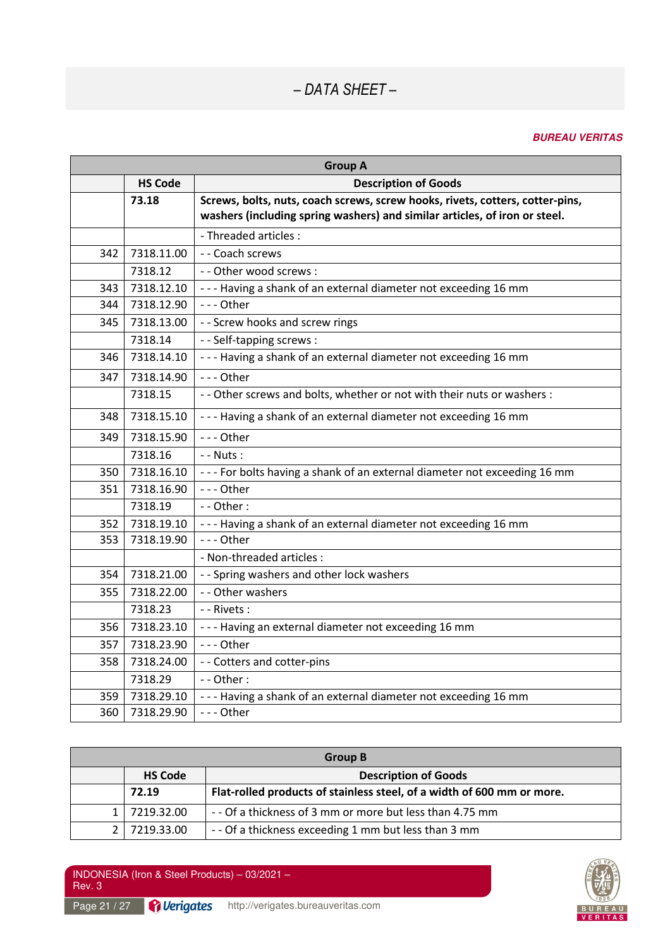### **BUREAU VERITAS**

| <b>Group A</b> |                |                                                                                                                                                             |
|----------------|----------------|-------------------------------------------------------------------------------------------------------------------------------------------------------------|
|                | <b>HS Code</b> | <b>Description of Goods</b>                                                                                                                                 |
|                | 73.18          | Screws, bolts, nuts, coach screws, screw hooks, rivets, cotters, cotter-pins,<br>washers (including spring washers) and similar articles, of iron or steel. |
|                |                | - Threaded articles :                                                                                                                                       |
| 342            | 7318.11.00     | - - Coach screws                                                                                                                                            |
|                | 7318.12        | - - Other wood screws :                                                                                                                                     |
| 343            | 7318.12.10     | --- Having a shank of an external diameter not exceeding 16 mm                                                                                              |
| 344            | 7318.12.90     | --- Other                                                                                                                                                   |
| 345            | 7318.13.00     | - - Screw hooks and screw rings                                                                                                                             |
|                | 7318.14        | - - Self-tapping screws :                                                                                                                                   |
| 346            | 7318.14.10     | --- Having a shank of an external diameter not exceeding 16 mm                                                                                              |
| 347            | 7318.14.90     | $--$ Other                                                                                                                                                  |
|                | 7318.15        | - - Other screws and bolts, whether or not with their nuts or washers :                                                                                     |
| 348            | 7318.15.10     | --- Having a shank of an external diameter not exceeding 16 mm                                                                                              |
| 349            | 7318.15.90     | --- Other                                                                                                                                                   |
|                | 7318.16        | $-$ - Nuts :                                                                                                                                                |
| 350            | 7318.16.10     | --- For bolts having a shank of an external diameter not exceeding 16 mm                                                                                    |
| 351            | 7318.16.90     | --- Other                                                                                                                                                   |
|                | 7318.19        | $-$ - Other :                                                                                                                                               |
| 352            | 7318.19.10     | --- Having a shank of an external diameter not exceeding 16 mm                                                                                              |
| 353            | 7318.19.90     | --- Other                                                                                                                                                   |
|                |                | - Non-threaded articles :                                                                                                                                   |
| 354            | 7318.21.00     | - - Spring washers and other lock washers                                                                                                                   |
| 355            | 7318.22.00     | - - Other washers                                                                                                                                           |
|                | 7318.23        | - - Rivets :                                                                                                                                                |
| 356            | 7318.23.10     | --- Having an external diameter not exceeding 16 mm                                                                                                         |
| 357            | 7318.23.90     | --- Other                                                                                                                                                   |
| 358            | 7318.24.00     | - - Cotters and cotter-pins                                                                                                                                 |
|                | 7318.29        | $-$ - Other :                                                                                                                                               |
| 359            | 7318.29.10     | --- Having a shank of an external diameter not exceeding 16 mm                                                                                              |
| 360            | 7318.29.90     | - - - Other                                                                                                                                                 |

| <b>Group B</b> |                |                                                                        |
|----------------|----------------|------------------------------------------------------------------------|
|                | <b>HS Code</b> | <b>Description of Goods</b>                                            |
|                | 72.19          | Flat-rolled products of stainless steel, of a width of 600 mm or more. |
|                | 7219.32.00     | -- Of a thickness of 3 mm or more but less than 4.75 mm                |
| 2 <sub>1</sub> | 7219.33.00     | -- Of a thickness exceeding 1 mm but less than 3 mm                    |

INDONESIA (Iron & Steel Products) – 03/2021 – Rev. 3

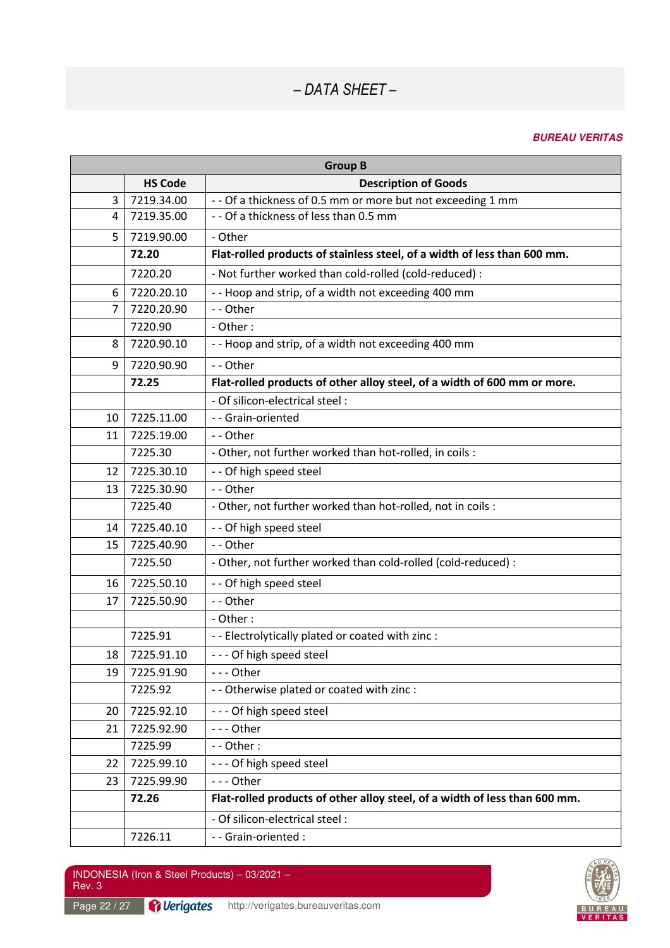### **BUREAU VERITAS**

| <b>Group B</b> |                |                                                                            |
|----------------|----------------|----------------------------------------------------------------------------|
|                | <b>HS Code</b> | <b>Description of Goods</b>                                                |
| 3              | 7219.34.00     | - - Of a thickness of 0.5 mm or more but not exceeding 1 mm                |
| 4              | 7219.35.00     | - - Of a thickness of less than 0.5 mm                                     |
| 5              | 7219.90.00     | - Other                                                                    |
|                | 72.20          | Flat-rolled products of stainless steel, of a width of less than 600 mm.   |
|                | 7220.20        | - Not further worked than cold-rolled (cold-reduced) :                     |
| 6              | 7220.20.10     | - - Hoop and strip, of a width not exceeding 400 mm                        |
| $\overline{7}$ | 7220.20.90     | -- Other                                                                   |
|                | 7220.90        | - Other:                                                                   |
| 8              | 7220.90.10     | -- Hoop and strip, of a width not exceeding 400 mm                         |
| 9              | 7220.90.90     | -- Other                                                                   |
|                | 72.25          | Flat-rolled products of other alloy steel, of a width of 600 mm or more.   |
|                |                | - Of silicon-electrical steel :                                            |
| 10             | 7225.11.00     | -- Grain-oriented                                                          |
| 11             | 7225.19.00     | -- Other                                                                   |
|                | 7225.30        | - Other, not further worked than hot-rolled, in coils :                    |
| 12             | 7225.30.10     | - - Of high speed steel                                                    |
| 13             | 7225.30.90     | -- Other                                                                   |
|                | 7225.40        | - Other, not further worked than hot-rolled, not in coils :                |
| 14             | 7225.40.10     | - - Of high speed steel                                                    |
| 15             | 7225.40.90     | -- Other                                                                   |
|                | 7225.50        | - Other, not further worked than cold-rolled (cold-reduced) :              |
| 16             | 7225.50.10     | - - Of high speed steel                                                    |
| 17             | 7225.50.90     | -- Other                                                                   |
|                |                | - Other:                                                                   |
|                | 7225.91        | - - Electrolytically plated or coated with zinc :                          |
| 18             | 7225.91.10     | --- Of high speed steel                                                    |
| 19             | 7225.91.90     | --- Other                                                                  |
|                | 7225.92        | - - Otherwise plated or coated with zinc :                                 |
| 20             | 7225.92.10     | --- Of high speed steel                                                    |
| 21             | 7225.92.90     | --- Other                                                                  |
|                | 7225.99        | - - Other:                                                                 |
| 22             | 7225.99.10     | --- Of high speed steel                                                    |
| 23             | 7225.99.90     | --- Other                                                                  |
|                | 72.26          | Flat-rolled products of other alloy steel, of a width of less than 600 mm. |
|                |                | - Of silicon-electrical steel :                                            |
|                | 7226.11        | - - Grain-oriented :                                                       |



Page 22 / 27 **Perigates** http://verigates.bureauveritas.com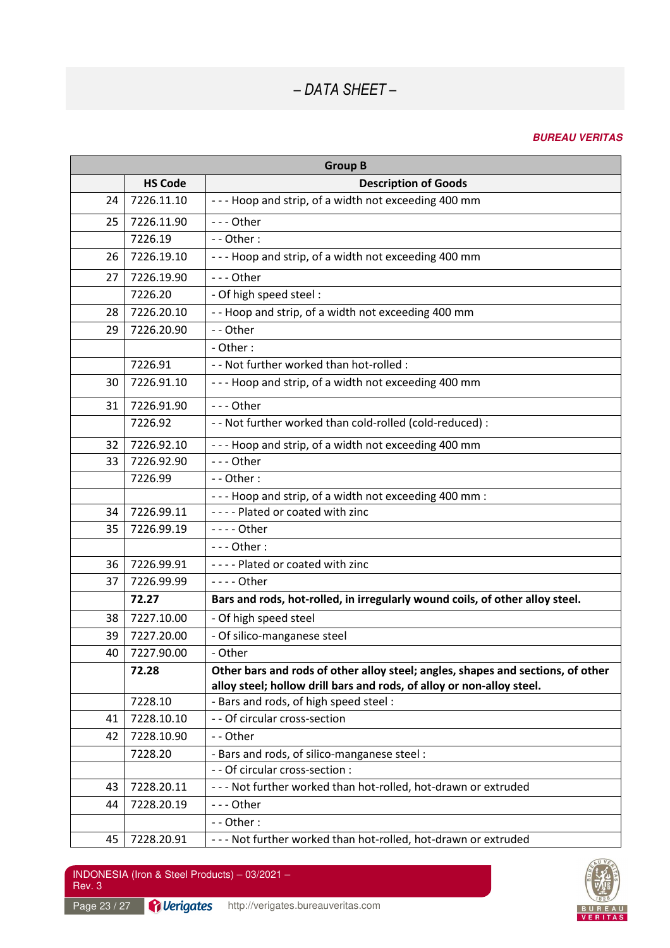### **BUREAU VERITAS**

|    |                | <b>Group B</b>                                                                  |
|----|----------------|---------------------------------------------------------------------------------|
|    | <b>HS Code</b> | <b>Description of Goods</b>                                                     |
| 24 | 7226.11.10     | --- Hoop and strip, of a width not exceeding 400 mm                             |
| 25 | 7226.11.90     | --- Other                                                                       |
|    | 7226.19        | $-$ - Other :                                                                   |
| 26 | 7226.19.10     | --- Hoop and strip, of a width not exceeding 400 mm                             |
| 27 | 7226.19.90     | $--$ Other                                                                      |
|    | 7226.20        | - Of high speed steel :                                                         |
| 28 | 7226.20.10     | - - Hoop and strip, of a width not exceeding 400 mm                             |
| 29 | 7226.20.90     | -- Other                                                                        |
|    |                | - Other:                                                                        |
|    | 7226.91        | - - Not further worked than hot-rolled :                                        |
| 30 | 7226.91.10     | --- Hoop and strip, of a width not exceeding 400 mm                             |
| 31 | 7226.91.90     | --- Other                                                                       |
|    | 7226.92        | - - Not further worked than cold-rolled (cold-reduced) :                        |
| 32 | 7226.92.10     | --- Hoop and strip, of a width not exceeding 400 mm                             |
| 33 | 7226.92.90     | --- Other                                                                       |
|    | 7226.99        | $-$ - Other :                                                                   |
|    |                | --- Hoop and strip, of a width not exceeding 400 mm :                           |
| 34 | 7226.99.11     | ---- Plated or coated with zinc                                                 |
| 35 | 7226.99.19     | $---$ Other                                                                     |
|    |                | $--$ Other:                                                                     |
| 36 | 7226.99.91     | ---- Plated or coated with zinc                                                 |
| 37 | 7226.99.99     | - - - - Other                                                                   |
|    | 72.27          | Bars and rods, hot-rolled, in irregularly wound coils, of other alloy steel.    |
| 38 | 7227.10.00     | - Of high speed steel                                                           |
| 39 | 7227.20.00     | - Of silico-manganese steel                                                     |
| 40 | 7227.90.00     | - Other                                                                         |
|    | 72.28          | Other bars and rods of other alloy steel; angles, shapes and sections, of other |
|    |                | alloy steel; hollow drill bars and rods, of alloy or non-alloy steel.           |
|    | 7228.10        | - Bars and rods, of high speed steel :                                          |
| 41 | 7228.10.10     | - - Of circular cross-section                                                   |
| 42 | 7228.10.90     | -- Other                                                                        |
|    | 7228.20        | - Bars and rods, of silico-manganese steel :                                    |
|    |                | - - Of circular cross-section :                                                 |
| 43 | 7228.20.11     | --- Not further worked than hot-rolled, hot-drawn or extruded                   |
| 44 | 7228.20.19     | --- Other                                                                       |
|    |                | --Other:                                                                        |
| 45 | 7228.20.91     | --- Not further worked than hot-rolled, hot-drawn or extruded                   |





Page 23 / 27 **Perigates** http://verigates.bureauveritas.com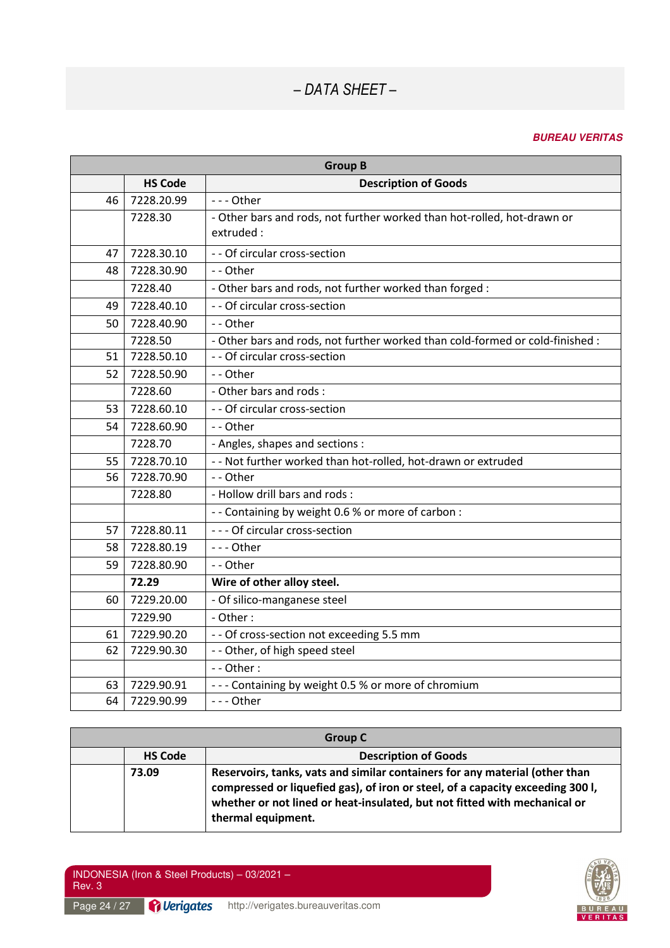| <b>Group B</b> |                |                                                                               |
|----------------|----------------|-------------------------------------------------------------------------------|
|                | <b>HS Code</b> | <b>Description of Goods</b>                                                   |
| 46             | 7228.20.99     | --- Other                                                                     |
|                | 7228.30        | - Other bars and rods, not further worked than hot-rolled, hot-drawn or       |
|                |                | extruded:                                                                     |
| 47             | 7228.30.10     | - - Of circular cross-section                                                 |
| 48             | 7228.30.90     | -- Other                                                                      |
|                | 7228.40        | - Other bars and rods, not further worked than forged :                       |
| 49             | 7228.40.10     | - - Of circular cross-section                                                 |
| 50             | 7228.40.90     | -- Other                                                                      |
|                | 7228.50        | - Other bars and rods, not further worked than cold-formed or cold-finished : |
| 51             | 7228.50.10     | - - Of circular cross-section                                                 |
| 52             | 7228.50.90     | -- Other                                                                      |
|                | 7228.60        | - Other bars and rods:                                                        |
| 53             | 7228.60.10     | - - Of circular cross-section                                                 |
| 54             | 7228.60.90     | - - Other                                                                     |
|                | 7228.70        | - Angles, shapes and sections :                                               |
| 55             | 7228.70.10     | - - Not further worked than hot-rolled, hot-drawn or extruded                 |
| 56             | 7228.70.90     | -- Other                                                                      |
|                | 7228.80        | - Hollow drill bars and rods:                                                 |
|                |                | - - Containing by weight 0.6 % or more of carbon :                            |
| 57             | 7228.80.11     | --- Of circular cross-section                                                 |
| 58             | 7228.80.19     | --- Other                                                                     |
| 59             | 7228.80.90     | -- Other                                                                      |
|                | 72.29          | Wire of other alloy steel.                                                    |
| 60             | 7229.20.00     | - Of silico-manganese steel                                                   |
|                | 7229.90        | - Other:                                                                      |
| 61             | 7229.90.20     | - - Of cross-section not exceeding 5.5 mm                                     |
| 62             | 7229.90.30     | - - Other, of high speed steel                                                |
|                |                | $-$ - Other :                                                                 |
| 63             | 7229.90.91     | --- Containing by weight 0.5 % or more of chromium                            |
| 64             | 7229.90.99     | --- Other                                                                     |

| Group C |                |                                                                                                                                                                                                                                                                  |
|---------|----------------|------------------------------------------------------------------------------------------------------------------------------------------------------------------------------------------------------------------------------------------------------------------|
|         | <b>HS Code</b> | <b>Description of Goods</b>                                                                                                                                                                                                                                      |
|         | 73.09          | Reservoirs, tanks, vats and similar containers for any material (other than<br>compressed or liquefied gas), of iron or steel, of a capacity exceeding 300 l,<br>whether or not lined or heat-insulated, but not fitted with mechanical or<br>thermal equipment. |

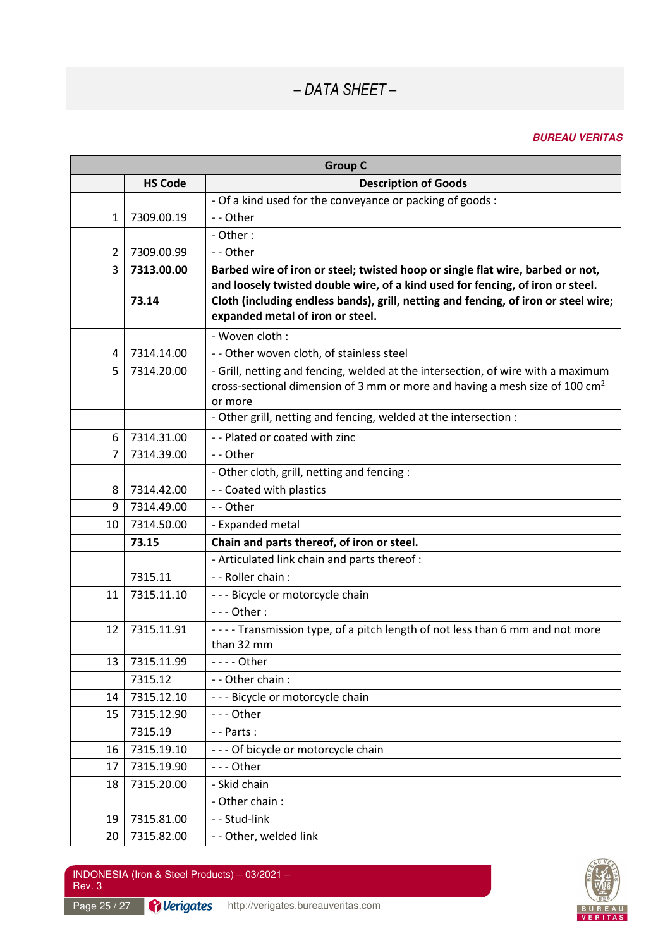### **BUREAU VERITAS**

| <b>Group C</b> |                |                                                                                                                                                                                        |
|----------------|----------------|----------------------------------------------------------------------------------------------------------------------------------------------------------------------------------------|
|                | <b>HS Code</b> | <b>Description of Goods</b>                                                                                                                                                            |
|                |                | - Of a kind used for the conveyance or packing of goods :                                                                                                                              |
| $\mathbf{1}$   | 7309.00.19     | -- Other                                                                                                                                                                               |
|                |                | - Other:                                                                                                                                                                               |
| $\overline{2}$ | 7309.00.99     | -- Other                                                                                                                                                                               |
| 3              | 7313.00.00     | Barbed wire of iron or steel; twisted hoop or single flat wire, barbed or not,                                                                                                         |
|                |                | and loosely twisted double wire, of a kind used for fencing, of iron or steel.                                                                                                         |
|                | 73.14          | Cloth (including endless bands), grill, netting and fencing, of iron or steel wire;<br>expanded metal of iron or steel.                                                                |
|                |                | - Woven cloth :                                                                                                                                                                        |
| 4              | 7314.14.00     | - - Other woven cloth, of stainless steel                                                                                                                                              |
| 5              | 7314.20.00     | - Grill, netting and fencing, welded at the intersection, of wire with a maximum<br>cross-sectional dimension of 3 mm or more and having a mesh size of 100 cm <sup>2</sup><br>or more |
|                |                | - Other grill, netting and fencing, welded at the intersection :                                                                                                                       |
| 6              | 7314.31.00     | - - Plated or coated with zinc                                                                                                                                                         |
| 7              | 7314.39.00     | -- Other                                                                                                                                                                               |
|                |                | - Other cloth, grill, netting and fencing :                                                                                                                                            |
| 8              | 7314.42.00     | - - Coated with plastics                                                                                                                                                               |
| 9              | 7314.49.00     | -- Other                                                                                                                                                                               |
| 10             | 7314.50.00     | - Expanded metal                                                                                                                                                                       |
|                | 73.15          | Chain and parts thereof, of iron or steel.                                                                                                                                             |
|                |                | - Articulated link chain and parts thereof :                                                                                                                                           |
|                | 7315.11        | - - Roller chain :                                                                                                                                                                     |
| 11             | 7315.11.10     | --- Bicycle or motorcycle chain                                                                                                                                                        |
|                |                | $--$ Other:                                                                                                                                                                            |
| 12             | 7315.11.91     | ---- Transmission type, of a pitch length of not less than 6 mm and not more<br>than 32 mm                                                                                             |
| 13             | 7315.11.99     | - - - - Other                                                                                                                                                                          |
|                | 7315.12        | - - Other chain :                                                                                                                                                                      |
| 14             | 7315.12.10     | --- Bicycle or motorcycle chain                                                                                                                                                        |
| 15             | 7315.12.90     | --- Other                                                                                                                                                                              |
|                | 7315.19        | $-$ - Parts :                                                                                                                                                                          |
| 16             | 7315.19.10     | --- Of bicycle or motorcycle chain                                                                                                                                                     |
| 17             | 7315.19.90     | --- Other                                                                                                                                                                              |
| 18             | 7315.20.00     | - Skid chain                                                                                                                                                                           |
|                |                | - Other chain:                                                                                                                                                                         |
| 19             | 7315.81.00     | - - Stud-link                                                                                                                                                                          |
| 20             | 7315.82.00     | - - Other, welded link                                                                                                                                                                 |

Page 25 / 27 **Perigates** http://verigates.bureauveritas.com

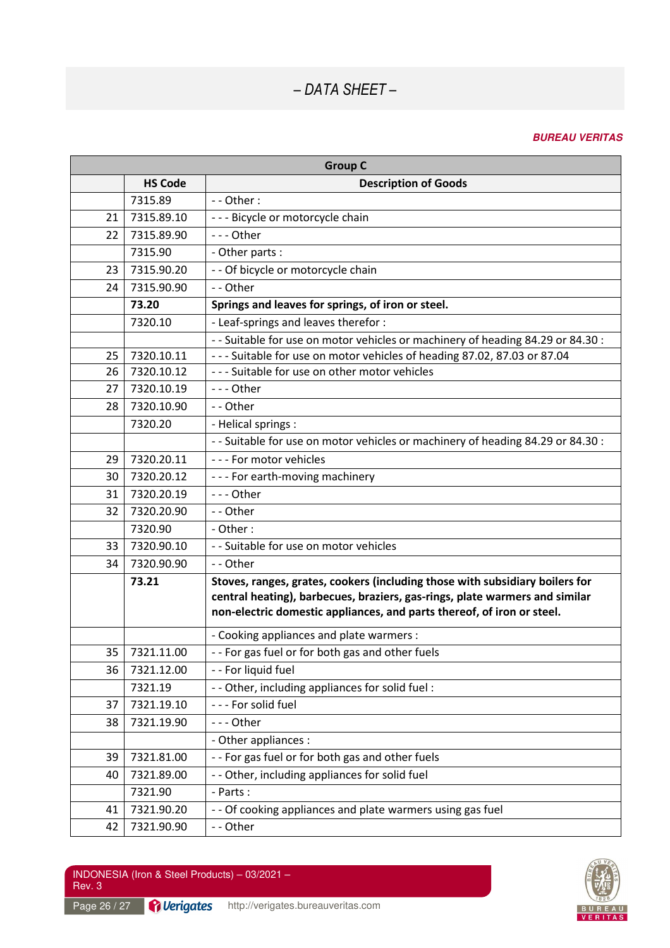#### **BUREAU VERITAS**

| <b>Group C</b> |                |                                                                                                                                                                                                                                       |
|----------------|----------------|---------------------------------------------------------------------------------------------------------------------------------------------------------------------------------------------------------------------------------------|
|                | <b>HS Code</b> | <b>Description of Goods</b>                                                                                                                                                                                                           |
|                | 7315.89        | - - Other:                                                                                                                                                                                                                            |
| 21             | 7315.89.10     | --- Bicycle or motorcycle chain                                                                                                                                                                                                       |
| 22             | 7315.89.90     | --- Other                                                                                                                                                                                                                             |
|                | 7315.90        | - Other parts :                                                                                                                                                                                                                       |
| 23             | 7315.90.20     | - - Of bicycle or motorcycle chain                                                                                                                                                                                                    |
| 24             | 7315.90.90     | - - Other                                                                                                                                                                                                                             |
|                | 73.20          | Springs and leaves for springs, of iron or steel.                                                                                                                                                                                     |
|                | 7320.10        | - Leaf-springs and leaves therefor :                                                                                                                                                                                                  |
|                |                | - - Suitable for use on motor vehicles or machinery of heading 84.29 or 84.30 :                                                                                                                                                       |
| 25             | 7320.10.11     | --- Suitable for use on motor vehicles of heading 87.02, 87.03 or 87.04                                                                                                                                                               |
| 26             | 7320.10.12     | --- Suitable for use on other motor vehicles                                                                                                                                                                                          |
| 27             | 7320.10.19     | --- Other                                                                                                                                                                                                                             |
| 28             | 7320.10.90     | -- Other                                                                                                                                                                                                                              |
|                | 7320.20        | - Helical springs :                                                                                                                                                                                                                   |
|                |                | - - Suitable for use on motor vehicles or machinery of heading 84.29 or 84.30 :                                                                                                                                                       |
| 29             | 7320.20.11     | --- For motor vehicles                                                                                                                                                                                                                |
| 30             | 7320.20.12     | --- For earth-moving machinery                                                                                                                                                                                                        |
| 31             | 7320.20.19     | $--$ Other                                                                                                                                                                                                                            |
| 32             | 7320.20.90     | -- Other                                                                                                                                                                                                                              |
|                | 7320.90        | - Other:                                                                                                                                                                                                                              |
| 33             | 7320.90.10     | - - Suitable for use on motor vehicles                                                                                                                                                                                                |
| 34             | 7320.90.90     | -- Other                                                                                                                                                                                                                              |
|                | 73.21          | Stoves, ranges, grates, cookers (including those with subsidiary boilers for<br>central heating), barbecues, braziers, gas-rings, plate warmers and similar<br>non-electric domestic appliances, and parts thereof, of iron or steel. |
|                |                | - Cooking appliances and plate warmers :                                                                                                                                                                                              |
| 35             | 7321.11.00     | -- For gas fuel or for both gas and other fuels                                                                                                                                                                                       |
| 36             | 7321.12.00     | - - For liquid fuel                                                                                                                                                                                                                   |
|                | 7321.19        | - - Other, including appliances for solid fuel :                                                                                                                                                                                      |
| 37             | 7321.19.10     | --- For solid fuel                                                                                                                                                                                                                    |
| 38             | 7321.19.90     | --- Other                                                                                                                                                                                                                             |
|                |                | - Other appliances :                                                                                                                                                                                                                  |
| 39             | 7321.81.00     | -- For gas fuel or for both gas and other fuels                                                                                                                                                                                       |
| 40             | 7321.89.00     | - - Other, including appliances for solid fuel                                                                                                                                                                                        |
|                | 7321.90        | - Parts:                                                                                                                                                                                                                              |
| 41             | 7321.90.20     | - - Of cooking appliances and plate warmers using gas fuel                                                                                                                                                                            |
| 42             | 7321.90.90     | -- Other                                                                                                                                                                                                                              |

Page 26 / 27 **Perigates** http://verigates.bureauveritas.com